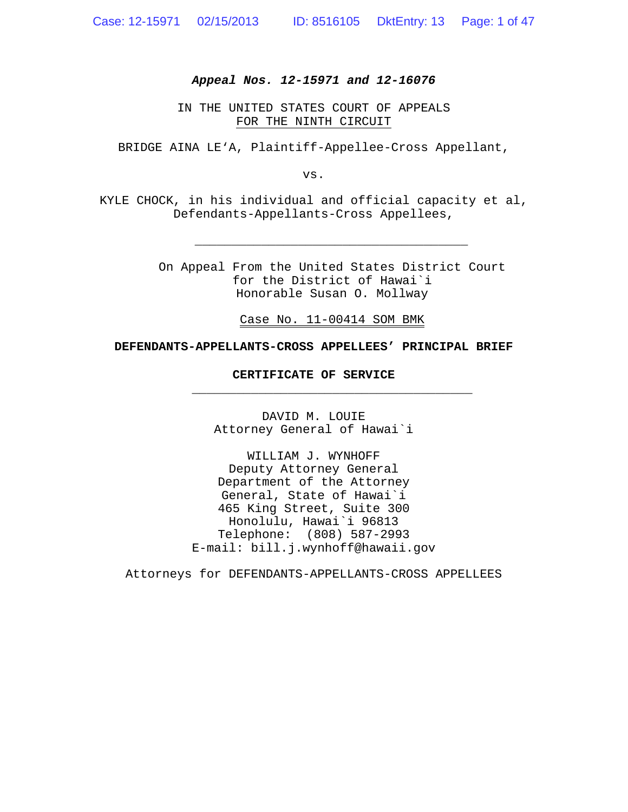### *Appeal Nos. 12-15971 and 12-16076*

IN THE UNITED STATES COURT OF APPEALS FOR THE NINTH CIRCUIT

BRIDGE AINA LE'A, Plaintiff-Appellee-Cross Appellant,

vs.

KYLE CHOCK, in his individual and official capacity et al, Defendants-Appellants-Cross Appellees,

> On Appeal From the United States District Court for the District of Hawai`i Honorable Susan O. Mollway

*\_\_\_\_\_\_\_\_\_\_\_\_\_\_\_\_\_\_\_\_\_\_\_\_\_\_\_\_\_\_\_\_\_\_\_\_\_*

Case No. 11-00414 SOM BMK

**\_\_\_\_\_\_\_\_\_\_\_\_\_\_\_\_\_\_\_\_\_\_\_\_\_\_\_\_\_\_\_\_\_\_\_\_\_\_**

### **DEFENDANTS-APPELLANTS-CROSS APPELLEES' PRINCIPAL BRIEF**

#### **CERTIFICATE OF SERVICE**

DAVID M. LOUIE Attorney General of Hawai`i

WILLIAM J. WYNHOFF Deputy Attorney General Department of the Attorney General, State of Hawai`i 465 King Street, Suite 300 Honolulu, Hawai`i 96813 Telephone: (808) 587-2993 E-mail: bill.j.wynhoff@hawaii.gov

Attorneys for DEFENDANTS-APPELLANTS-CROSS APPELLEES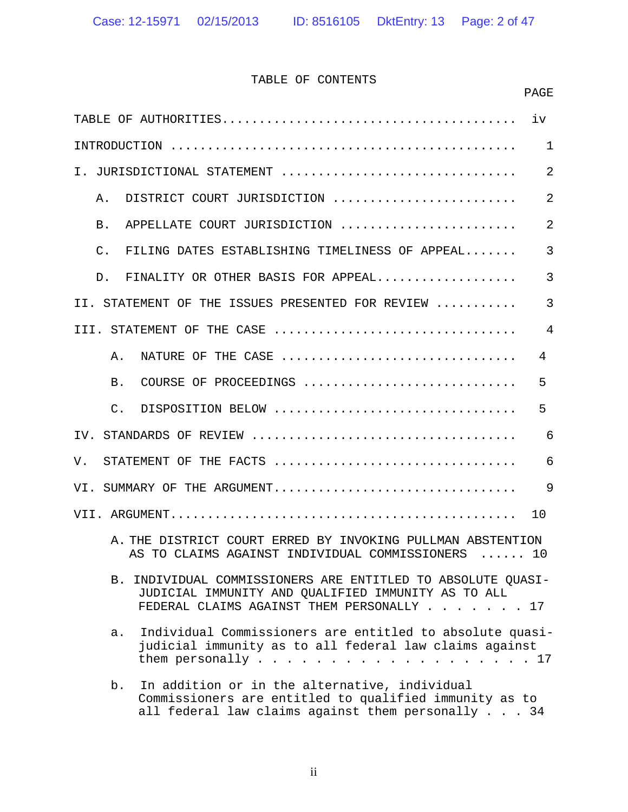# TABLE OF CONTENTS

|                                                                                                                                                                    | PAGE           |
|--------------------------------------------------------------------------------------------------------------------------------------------------------------------|----------------|
|                                                                                                                                                                    | iv             |
|                                                                                                                                                                    | $\mathbf 1$    |
| $\mathsf{T}$ .<br>JURISDICTIONAL STATEMENT                                                                                                                         | $\overline{2}$ |
| DISTRICT COURT JURISDICTION<br>Α.                                                                                                                                  | $\overline{2}$ |
| APPELLATE COURT JURISDICTION<br>B.                                                                                                                                 | $\overline{2}$ |
| $\mathsf{C}$ .<br>FILING DATES ESTABLISHING TIMELINESS OF APPEAL                                                                                                   | $\overline{3}$ |
| FINALITY OR OTHER BASIS FOR APPEAL<br>D.                                                                                                                           | $\overline{3}$ |
| II. STATEMENT OF THE ISSUES PRESENTED FOR REVIEW                                                                                                                   | $\overline{3}$ |
| III. STATEMENT OF THE CASE                                                                                                                                         | $\overline{4}$ |
| NATURE OF THE CASE<br>Α.                                                                                                                                           | 4              |
| B.<br>COURSE OF PROCEEDINGS                                                                                                                                        | 5              |
| $\mathcal{C}$ .<br>DISPOSITION BELOW                                                                                                                               | 5              |
| TV.                                                                                                                                                                | 6              |
| STATEMENT OF THE FACTS<br>V.                                                                                                                                       | 6              |
| VI. SUMMARY OF THE ARGUMENT                                                                                                                                        | 9              |
|                                                                                                                                                                    | 10             |
| A. THE DISTRICT COURT ERRED BY INVOKING PULLMAN ABSTENTION<br>AS TO CLAIMS AGAINST INDIVIDUAL COMMISSIONERS  10                                                    |                |
| INDIVIDUAL COMMISSIONERS ARE ENTITLED TO ABSOLUTE QUASI-<br>В.<br>JUDICIAL IMMUNITY AND QUALIFIED IMMUNITY AS TO ALL<br>FEDERAL CLAIMS AGAINST THEM PERSONALLY 17  |                |
| Individual Commissioners are entitled to absolute quasi-<br>a.<br>judicial immunity as to all federal law claims against                                           |                |
| In addition or in the alternative, individual<br>b.<br>Commissioners are entitled to qualified immunity as to<br>all federal law claims against them personally 34 |                |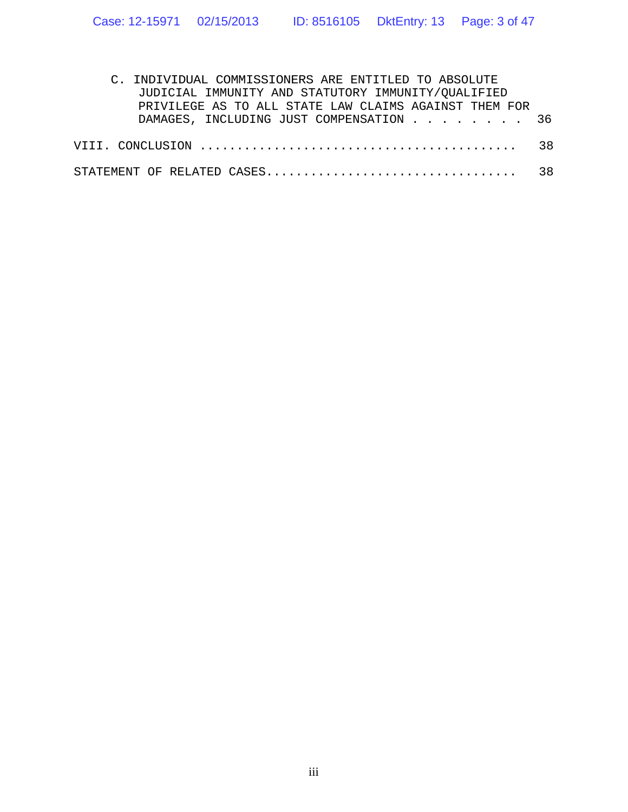| C. INDIVIDUAL COMMISSIONERS ARE ENTITLED TO ABSOLUTE  |  |
|-------------------------------------------------------|--|
| JUDICIAL IMMUNITY AND STATUTORY IMMUNITY/OUALIFIED    |  |
| PRIVILEGE AS TO ALL STATE LAW CLAIMS AGAINST THEM FOR |  |
| DAMAGES, INCLUDING JUST COMPENSATION 36               |  |
|                                                       |  |
|                                                       |  |
|                                                       |  |
|                                                       |  |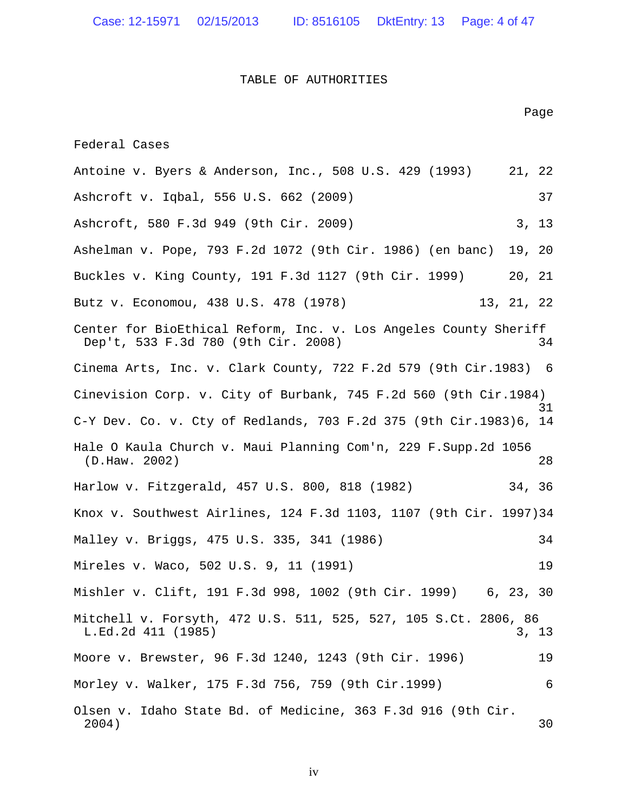Case: 12-15971 02/15/2013 ID: 8516105 DktEntry: 13 Page: 4 of 47

### TABLE OF AUTHORITIES

Page

Federal Cases

Antoine v. Byers & Anderson, Inc., 508 U.S. 429 (1993) 21, 22 Ashcroft v. Iqbal, 556 U.S. 662 (2009) 37 Ashcroft, 580 F.3d 949 (9th Cir. 2009) 3, 13 Ashelman v. Pope, 793 F.2d 1072 (9th Cir. 1986) (en banc) 19, 20 Buckles v. King County, 191 F.3d 1127 (9th Cir. 1999) 20, 21 Butz v. Economou, 438 U.S. 478 (1978) 13, 21, 22 Center for BioEthical Reform, Inc. v. Los Angeles County Sheriff Dep't, 533 F.3d 780 (9th Cir. 2008) 34 Cinema Arts, Inc. v. Clark County, 722 F.2d 579 (9th Cir.1983) 6 Cinevision Corp. v. City of Burbank, 745 F.2d 560 (9th Cir.1984) 31 C-Y Dev. Co. v. Cty of Redlands, 703 F.2d 375 (9th Cir.1983)6, 14 Hale O Kaula Church v. Maui Planning Com'n, 229 F.Supp.2d 1056 (D.Haw. 2002) 28 Harlow v. Fitzgerald, 457 U.S. 800, 818 (1982) 34, 36 Knox v. Southwest Airlines, 124 F.3d 1103, 1107 (9th Cir. 1997)34 Malley v. Briggs, 475 U.S. 335, 341 (1986) 34 Mireles v. Waco, 502 U.S. 9, 11 (1991) 19 Mishler v. Clift, 191 F.3d 998, 1002 (9th Cir. 1999) 6, 23, 30 Mitchell v. Forsyth, 472 U.S. 511, 525, 527, 105 S.Ct. 2806, 86 L.Ed. 2d 411 (1985) 3, 13 Moore v. Brewster, 96 F.3d 1240, 1243 (9th Cir. 1996) 19 Morley v. Walker, 175 F.3d 756, 759 (9th Cir.1999) 6 Olsen v. Idaho State Bd. of Medicine, 363 F.3d 916 (9th Cir. 2004) 30

iv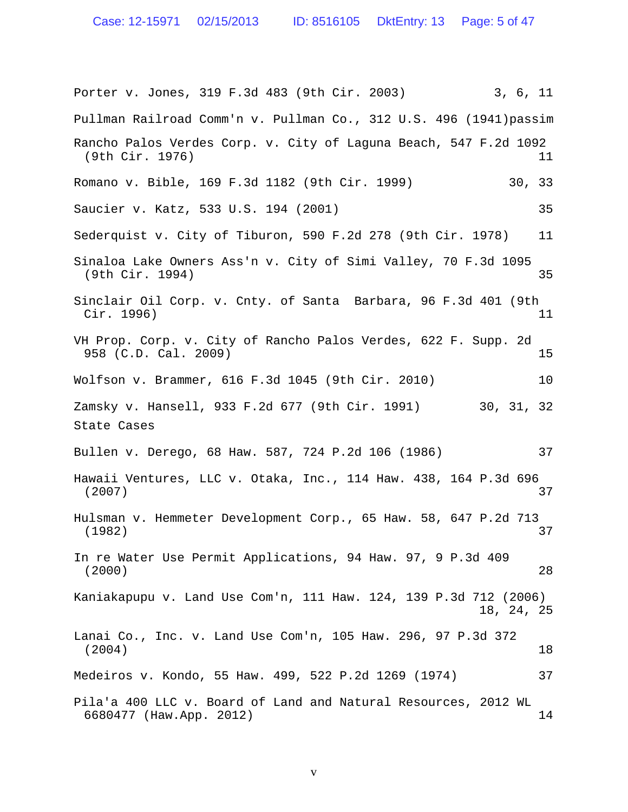Case: 12-15971 02/15/2013 ID: 8516105 DktEntry: 13 Page: 5 of 47

Porter v. Jones, 319 F.3d 483 (9th Cir. 2003) 3, 6, 11 Pullman Railroad Comm'n v. Pullman Co., 312 U.S. 496 (1941)passim Rancho Palos Verdes Corp. v. City of Laguna Beach, 547 F.2d 1092 (9th Cir. 1976) 11 Romano v. Bible, 169 F.3d 1182 (9th Cir. 1999) 30, 33 Saucier v. Katz, 533 U.S. 194 (2001) 35 Sederquist v. City of Tiburon, 590 F.2d 278 (9th Cir. 1978) 11 Sinaloa Lake Owners Ass'n v. City of Simi Valley, 70 F.3d 1095 (9th Cir. 1994) 35 Sinclair Oil Corp. v. Cnty. of Santa Barbara, 96 F.3d 401 (9th Cir. 1996) 11 VH Prop. Corp. v. City of Rancho Palos Verdes, 622 F. Supp. 2d 958 (C.D. Cal. 2009) 15 Wolfson v. Brammer, 616 F.3d 1045 (9th Cir. 2010) 10 Zamsky v. Hansell, 933 F.2d 677 (9th Cir. 1991) 30, 31, 32 State Cases Bullen v. Derego, 68 Haw. 587, 724 P.2d 106 (1986) 37 Hawaii Ventures, LLC v. Otaka, Inc., 114 Haw. 438, 164 P.3d 696 (2007) 37 Hulsman v. Hemmeter Development Corp., 65 Haw. 58, 647 P.2d 713 (1982) 37 In re Water Use Permit Applications, 94 Haw. 97, 9 P.3d 409 (2000) 28 Kaniakapupu v. Land Use Com'n, 111 Haw. 124, 139 P.3d 712 (2006) 18, 24, 25 Lanai Co., Inc. v. Land Use Com'n, 105 Haw. 296, 97 P.3d 372 (2004) 18 Medeiros v. Kondo, 55 Haw. 499, 522 P.2d 1269 (1974) 37 Pila'a 400 LLC v. Board of Land and Natural Resources, 2012 WL 6680477 (Haw.App. 2012) 14

v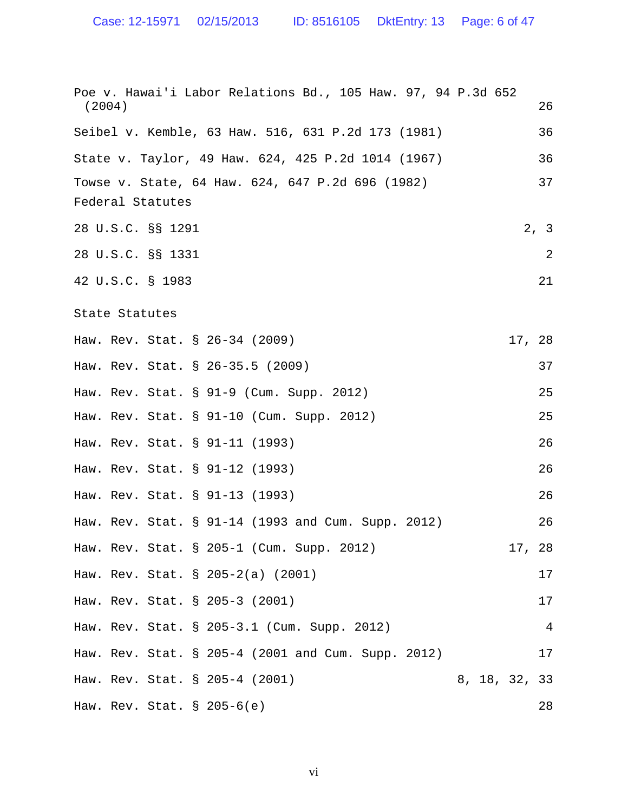Case: 12-15971 02/15/2013 ID: 8516105 DktEntry: 13 Page: 6 of 47

| Poe v. Hawai'i Labor Relations Bd., 105 Haw. 97, 94 P.3d 652 |                |
|--------------------------------------------------------------|----------------|
| (2004)                                                       | 26             |
| Seibel v. Kemble, 63 Haw. 516, 631 P.2d 173 (1981)           | 36             |
| State v. Taylor, 49 Haw. 624, 425 P.2d 1014 (1967)           | 36             |
| Towse v. State, 64 Haw. 624, 647 P.2d 696 (1982)             | 37             |
| Federal Statutes                                             |                |
| 28 U.S.C. §§ 1291                                            | 2, 3           |
| 28 U.S.C. §§ 1331                                            | 2              |
| 42 U.S.C. § 1983                                             | 21             |
| State Statutes                                               |                |
| Haw. Rev. Stat. § 26-34 (2009)                               | 17, 28         |
| Haw. Rev. Stat. § 26-35.5 (2009)                             | 37             |
| Haw. Rev. Stat. § 91-9 (Cum. Supp. 2012)                     | 25             |
| Haw. Rev. Stat. § 91-10 (Cum. Supp. 2012)                    | 25             |
| Haw. Rev. Stat. § 91-11 (1993)                               | 26             |
| Haw. Rev. Stat. § 91-12 (1993)                               | 26             |
| Haw. Rev. Stat. § 91-13 (1993)                               | 26             |
| Haw. Rev. Stat. § 91-14 (1993 and Cum. Supp. 2012)           | 26             |
| Haw. Rev. Stat. § 205-1 (Cum. Supp. 2012)                    | 17, 28         |
| Haw. Rev. Stat. § 205-2(a) (2001)                            | 17             |
| Haw. Rev. Stat. § 205-3 (2001)                               | 17             |
| Haw. Rev. Stat. § 205-3.1 (Cum. Supp. 2012)                  | $\overline{4}$ |
| Haw. Rev. Stat. § 205-4 (2001 and Cum. Supp. 2012)           | 17             |
| Haw. Rev. Stat. § 205-4 (2001)                               | 8, 18, 32, 33  |
| Haw. Rev. Stat. $\S$ 205-6(e)                                | 28             |

vi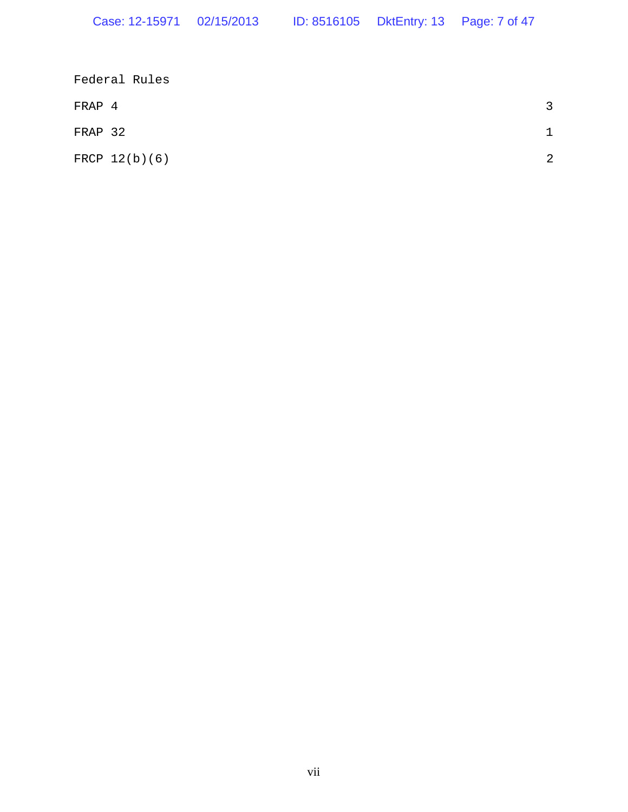|         | Federal Rules   |   |
|---------|-----------------|---|
| FRAP 4  |                 | ર |
| FRAP 32 |                 |   |
|         | FRCP $12(b)(6)$ | 2 |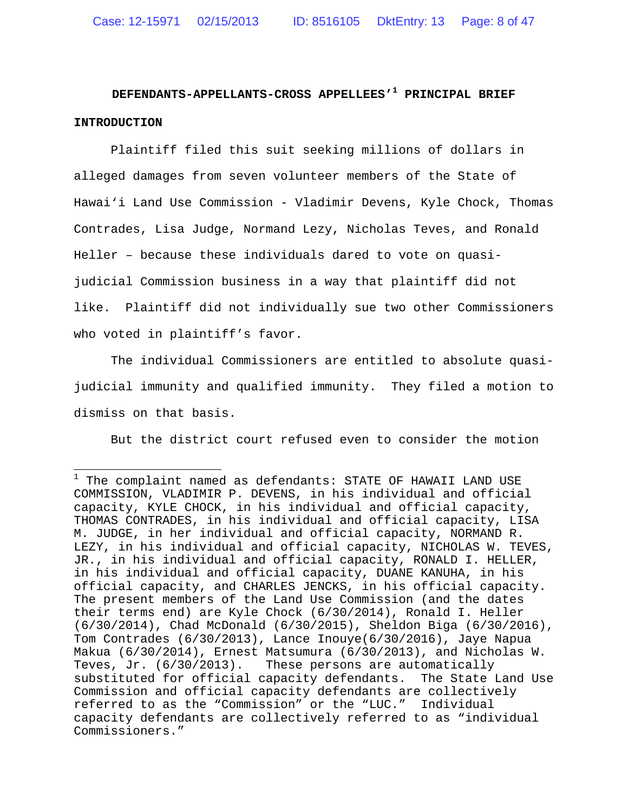# **DEFENDANTS-APPELLANTS-CROSS APPELLEES'<sup>1</sup> PRINCIPAL BRIEF INTRODUCTION**

Plaintiff filed this suit seeking millions of dollars in alleged damages from seven volunteer members of the State of Hawai'i Land Use Commission - Vladimir Devens, Kyle Chock, Thomas Contrades, Lisa Judge, Normand Lezy, Nicholas Teves, and Ronald Heller – because these individuals dared to vote on quasijudicial Commission business in a way that plaintiff did not like. Plaintiff did not individually sue two other Commissioners who voted in plaintiff's favor.

The individual Commissioners are entitled to absolute quasijudicial immunity and qualified immunity. They filed a motion to dismiss on that basis.

But the district court refused even to consider the motion

 $1$  The complaint named as defendants: STATE OF HAWAII LAND USE COMMISSION, VLADIMIR P. DEVENS, in his individual and official capacity, KYLE CHOCK, in his individual and official capacity, THOMAS CONTRADES, in his individual and official capacity, LISA M. JUDGE, in her individual and official capacity, NORMAND R. LEZY, in his individual and official capacity, NICHOLAS W. TEVES, JR., in his individual and official capacity, RONALD I. HELLER, in his individual and official capacity, DUANE KANUHA, in his official capacity, and CHARLES JENCKS, in his official capacity. The present members of the Land Use Commission (and the dates their terms end) are Kyle Chock (6/30/2014), Ronald I. Heller (6/30/2014), Chad McDonald (6/30/2015), Sheldon Biga (6/30/2016), Tom Contrades (6/30/2013), Lance Inouye(6/30/2016), Jaye Napua Makua (6/30/2014), Ernest Matsumura (6/30/2013), and Nicholas W. Teves, Jr. (6/30/2013). These persons are automatically substituted for official capacity defendants. The State Land Use Commission and official capacity defendants are collectively referred to as the "Commission" or the "LUC." Individual capacity defendants are collectively referred to as "individual Commissioners."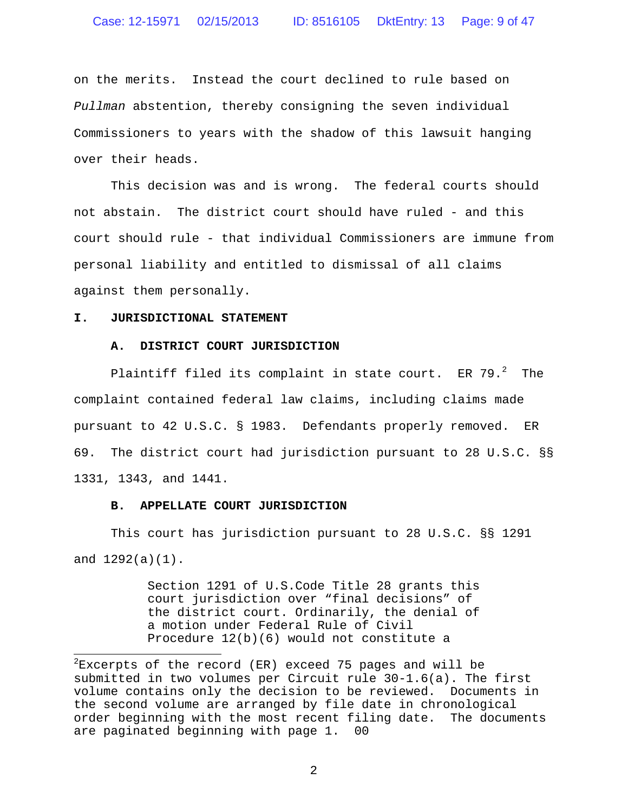on the merits. Instead the court declined to rule based on *Pullman* abstention, thereby consigning the seven individual Commissioners to years with the shadow of this lawsuit hanging over their heads.

This decision was and is wrong. The federal courts should not abstain. The district court should have ruled - and this court should rule - that individual Commissioners are immune from personal liability and entitled to dismissal of all claims against them personally.

### **I. JURISDICTIONAL STATEMENT**

### **A. DISTRICT COURT JURISDICTION**

Plaintiff filed its complaint in state court. ER 79. $^2$  The complaint contained federal law claims, including claims made pursuant to 42 U.S.C. § 1983. Defendants properly removed. ER 69. The district court had jurisdiction pursuant to 28 U.S.C. §§ 1331, 1343, and 1441.

### **B. APPELLATE COURT JURISDICTION**

This court has jurisdiction pursuant to 28 U.S.C. §§ 1291 and 1292(a)(1).

> Section 1291 of U.S.Code Title 28 grants this court jurisdiction over "final decisions" of the district court. Ordinarily, the denial of a motion under Federal Rule of Civil Procedure 12(b)(6) would not constitute a

 $2$ Excerpts of the record (ER) exceed 75 pages and will be submitted in two volumes per Circuit rule 30-1.6(a). The first volume contains only the decision to be reviewed. Documents in the second volume are arranged by file date in chronological order beginning with the most recent filing date. The documents are paginated beginning with page 1. 00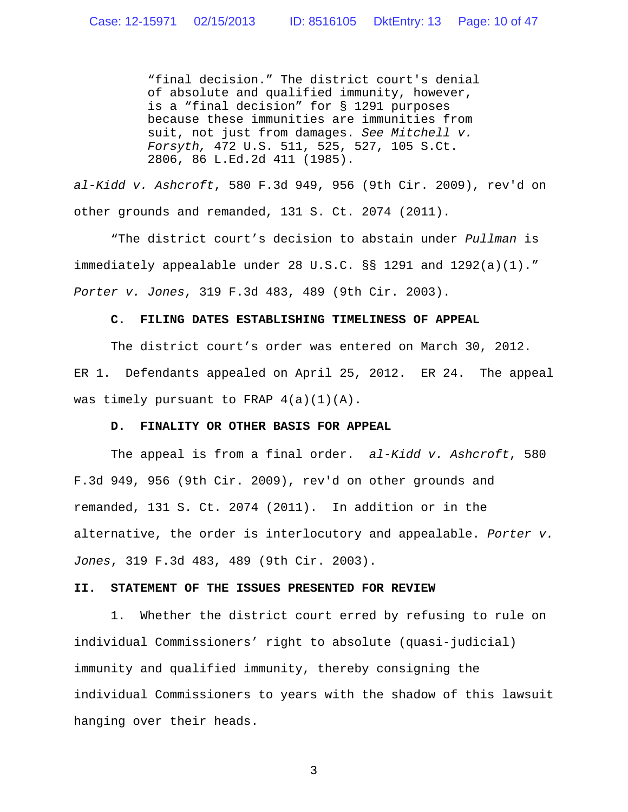"final decision." The district court's denial of absolute and qualified immunity, however, is a "final decision" for § 1291 purposes because these immunities are immunities from suit, not just from damages. *See Mitchell v. Forsyth,* 472 U.S. 511, 525, 527, 105 S.Ct. 2806, 86 L.Ed.2d 411 (1985).

*al-Kidd v. Ashcroft*, 580 F.3d 949, 956 (9th Cir. 2009), rev'd on other grounds and remanded, 131 S. Ct. 2074 (2011).

"The district court's decision to abstain under *Pullman* is immediately appealable under 28 U.S.C. §§ 1291 and 1292(a)(1)." *Porter v. Jones*, 319 F.3d 483, 489 (9th Cir. 2003).

### **C. FILING DATES ESTABLISHING TIMELINESS OF APPEAL**

The district court's order was entered on March 30, 2012. ER 1. Defendants appealed on April 25, 2012. ER 24. The appeal was timely pursuant to FRAP  $4(a)(1)(A)$ .

#### **D. FINALITY OR OTHER BASIS FOR APPEAL**

The appeal is from a final order. *al-Kidd v. Ashcroft*, 580 F.3d 949, 956 (9th Cir. 2009), rev'd on other grounds and remanded, 131 S. Ct. 2074 (2011). In addition or in the alternative, the order is interlocutory and appealable. *Porter v. Jones*, 319 F.3d 483, 489 (9th Cir. 2003).

### **II. STATEMENT OF THE ISSUES PRESENTED FOR REVIEW**

1. Whether the district court erred by refusing to rule on individual Commissioners' right to absolute (quasi-judicial) immunity and qualified immunity, thereby consigning the individual Commissioners to years with the shadow of this lawsuit hanging over their heads.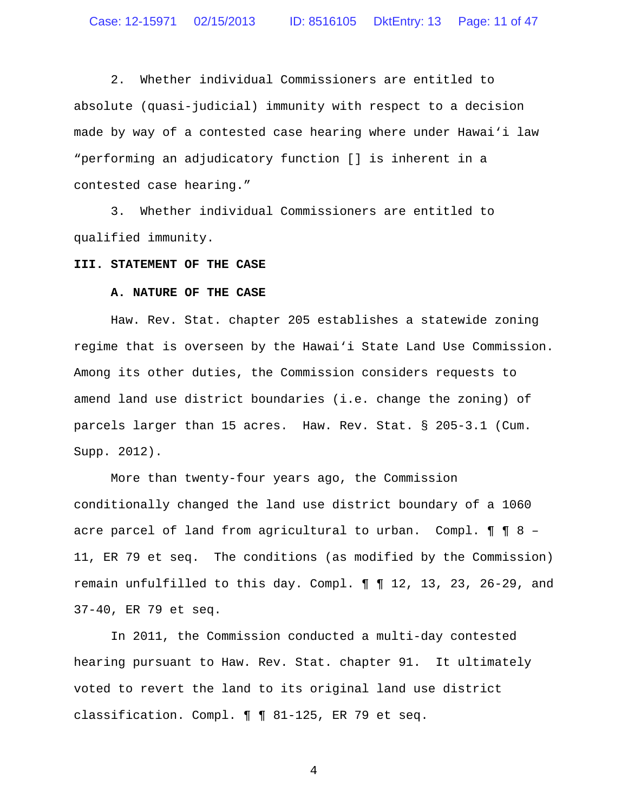2. Whether individual Commissioners are entitled to absolute (quasi-judicial) immunity with respect to a decision made by way of a contested case hearing where under Hawai'i law "performing an adjudicatory function [] is inherent in a contested case hearing."

3. Whether individual Commissioners are entitled to qualified immunity.

### **III. STATEMENT OF THE CASE**

# **A. NATURE OF THE CASE**

Haw. Rev. Stat. chapter 205 establishes a statewide zoning regime that is overseen by the Hawai'i State Land Use Commission. Among its other duties, the Commission considers requests to amend land use district boundaries (i.e. change the zoning) of parcels larger than 15 acres. Haw. Rev. Stat. § 205-3.1 (Cum. Supp. 2012).

More than twenty-four years ago, the Commission conditionally changed the land use district boundary of a 1060 acre parcel of land from agricultural to urban. Compl.  $\P$   $\P$  8 -11, ER 79 et seq. The conditions (as modified by the Commission) remain unfulfilled to this day. Compl. ¶ ¶ 12, 13, 23, 26-29, and 37-40, ER 79 et seq.

In 2011, the Commission conducted a multi-day contested hearing pursuant to Haw. Rev. Stat. chapter 91. It ultimately voted to revert the land to its original land use district classification. Compl. ¶ ¶ 81-125, ER 79 et seq.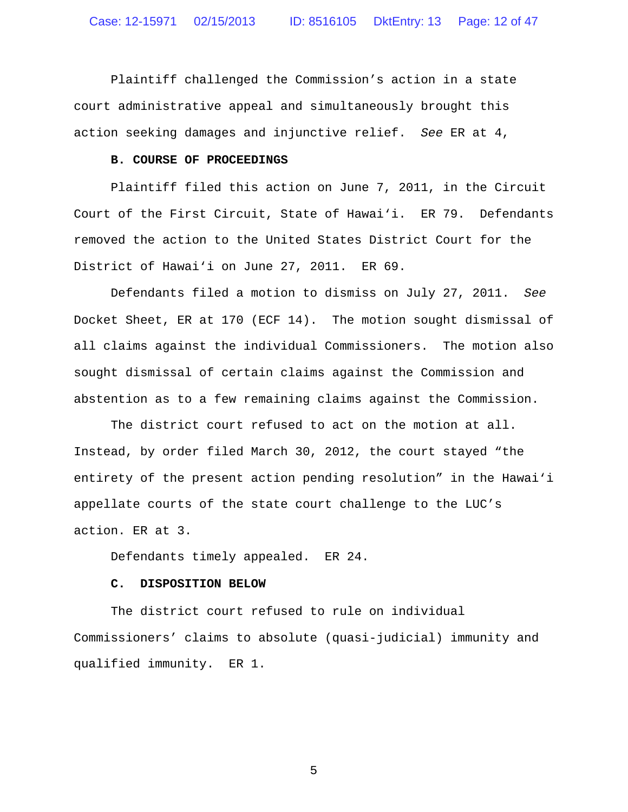Plaintiff challenged the Commission's action in a state court administrative appeal and simultaneously brought this action seeking damages and injunctive relief. *See* ER at 4,

# **B. COURSE OF PROCEEDINGS**

Plaintiff filed this action on June 7, 2011, in the Circuit Court of the First Circuit, State of Hawai'i. ER 79. Defendants removed the action to the United States District Court for the District of Hawai'i on June 27, 2011. ER 69.

Defendants filed a motion to dismiss on July 27, 2011. *See* Docket Sheet, ER at 170 (ECF 14). The motion sought dismissal of all claims against the individual Commissioners. The motion also sought dismissal of certain claims against the Commission and abstention as to a few remaining claims against the Commission.

The district court refused to act on the motion at all. Instead, by order filed March 30, 2012, the court stayed "the entirety of the present action pending resolution" in the Hawai'i appellate courts of the state court challenge to the LUC's action. ER at 3.

Defendants timely appealed. ER 24.

# **C. DISPOSITION BELOW**

The district court refused to rule on individual Commissioners' claims to absolute (quasi-judicial) immunity and qualified immunity. ER 1.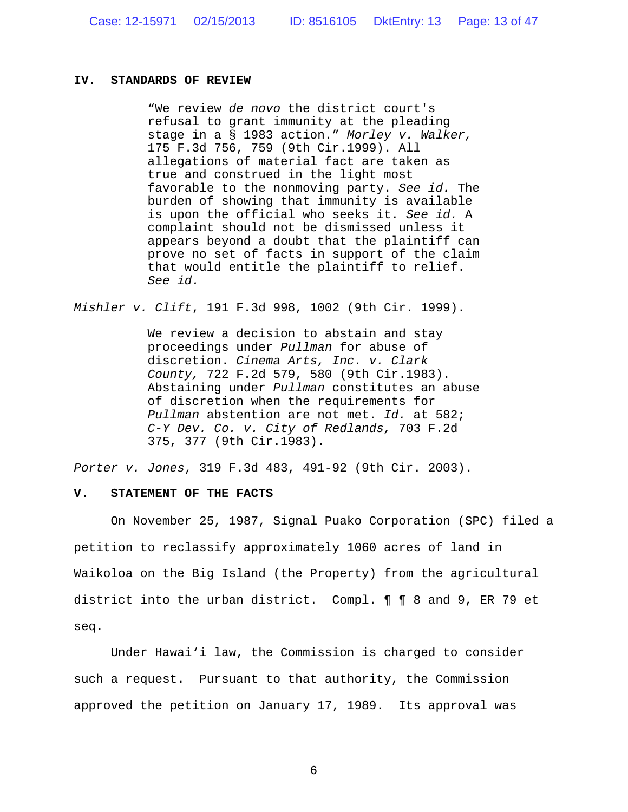### **IV. STANDARDS OF REVIEW**

"We review *de novo* the district court's refusal to grant immunity at the pleading stage in a § 1983 action." *Morley v. Walker,* 175 F.3d 756, 759 (9th Cir.1999). All allegations of material fact are taken as true and construed in the light most favorable to the nonmoving party. *See id.* The burden of showing that immunity is available is upon the official who seeks it. *See id.* A complaint should not be dismissed unless it appears beyond a doubt that the plaintiff can prove no set of facts in support of the claim that would entitle the plaintiff to relief. *See id.*

*Mishler v. Clift*, 191 F.3d 998, 1002 (9th Cir. 1999).

We review a decision to abstain and stay proceedings under *Pullman* for abuse of discretion. *Cinema Arts, Inc. v. Clark County,* 722 F.2d 579, 580 (9th Cir.1983). Abstaining under *Pullman* constitutes an abuse of discretion when the requirements for *Pullman* abstention are not met. *Id.* at 582; *C-Y Dev. Co. v. City of Redlands,* 703 F.2d 375, 377 (9th Cir.1983).

*Porter v. Jones*, 319 F.3d 483, 491-92 (9th Cir. 2003).

### **V. STATEMENT OF THE FACTS**

On November 25, 1987, Signal Puako Corporation (SPC) filed a petition to reclassify approximately 1060 acres of land in Waikoloa on the Big Island (the Property) from the agricultural district into the urban district. Compl. ¶ ¶ 8 and 9, ER 79 et seq.

Under Hawai'i law, the Commission is charged to consider such a request. Pursuant to that authority, the Commission approved the petition on January 17, 1989. Its approval was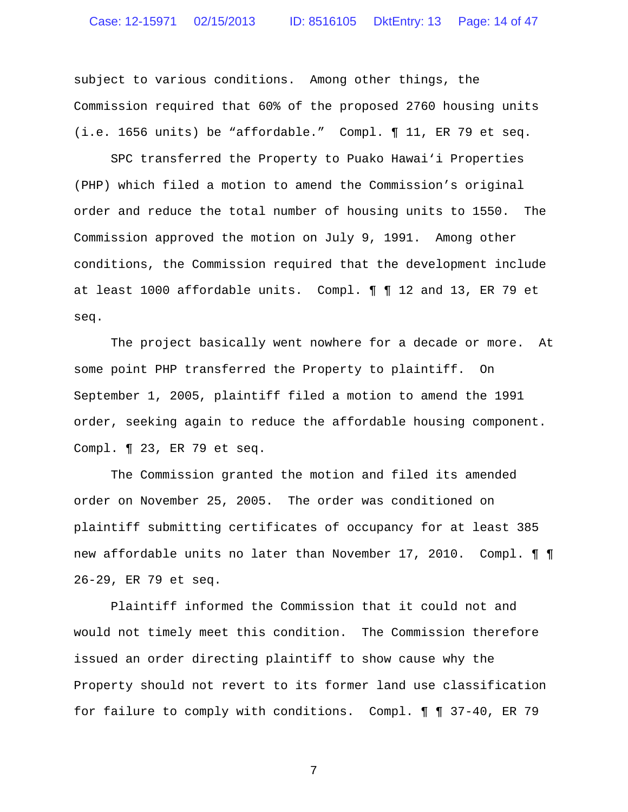subject to various conditions. Among other things, the Commission required that 60% of the proposed 2760 housing units (i.e. 1656 units) be "affordable." Compl. ¶ 11, ER 79 et seq.

SPC transferred the Property to Puako Hawai'i Properties (PHP) which filed a motion to amend the Commission's original order and reduce the total number of housing units to 1550. The Commission approved the motion on July 9, 1991. Among other conditions, the Commission required that the development include at least 1000 affordable units. Compl. ¶ ¶ 12 and 13, ER 79 et seq.

The project basically went nowhere for a decade or more. At some point PHP transferred the Property to plaintiff. On September 1, 2005, plaintiff filed a motion to amend the 1991 order, seeking again to reduce the affordable housing component. Compl. ¶ 23, ER 79 et seq.

The Commission granted the motion and filed its amended order on November 25, 2005. The order was conditioned on plaintiff submitting certificates of occupancy for at least 385 new affordable units no later than November 17, 2010. Compl. ¶ ¶ 26-29, ER 79 et seq.

Plaintiff informed the Commission that it could not and would not timely meet this condition. The Commission therefore issued an order directing plaintiff to show cause why the Property should not revert to its former land use classification for failure to comply with conditions. Compl. ¶ ¶ 37-40, ER 79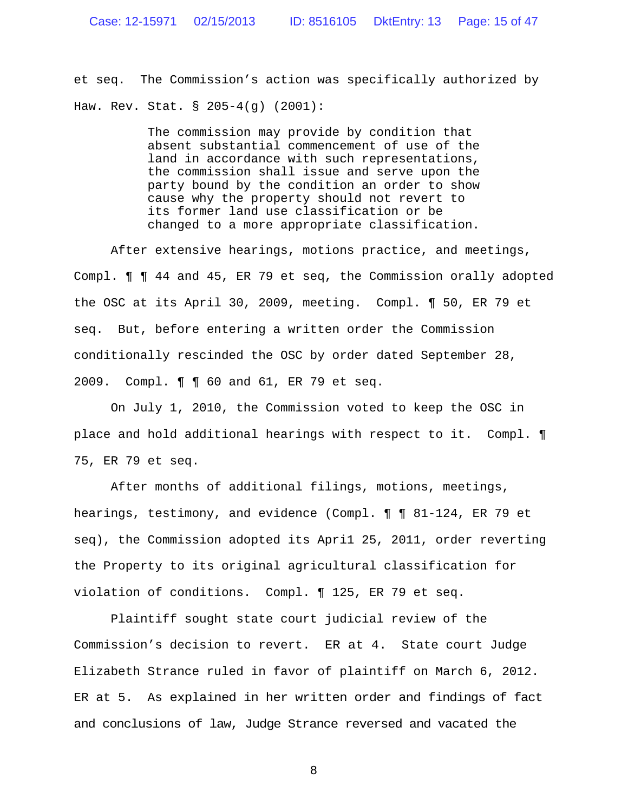et seq. The Commission's action was specifically authorized by Haw. Rev. Stat. § 205-4(g) (2001):

> The commission may provide by condition that absent substantial commencement of use of the land in accordance with such representations, the commission shall issue and serve upon the party bound by the condition an order to show cause why the property should not revert to its former land use classification or be changed to a more appropriate classification.

After extensive hearings, motions practice, and meetings, Compl. ¶ ¶ 44 and 45, ER 79 et seq, the Commission orally adopted the OSC at its April 30, 2009, meeting. Compl. ¶ 50, ER 79 et seq. But, before entering a written order the Commission conditionally rescinded the OSC by order dated September 28, 2009. Compl. ¶ ¶ 60 and 61, ER 79 et seq.

On July 1, 2010, the Commission voted to keep the OSC in place and hold additional hearings with respect to it. Compl. ¶ 75, ER 79 et seq.

After months of additional filings, motions, meetings, hearings, testimony, and evidence (Compl. ¶ ¶ 81-124, ER 79 et seq), the Commission adopted its Apri1 25, 2011, order reverting the Property to its original agricultural classification for violation of conditions. Compl. ¶ 125, ER 79 et seq.

Plaintiff sought state court judicial review of the Commission's decision to revert. ER at 4. State court Judge Elizabeth Strance ruled in favor of plaintiff on March 6, 2012. ER at 5. As explained in her written order and findings of fact and conclusions of law, Judge Strance reversed and vacated the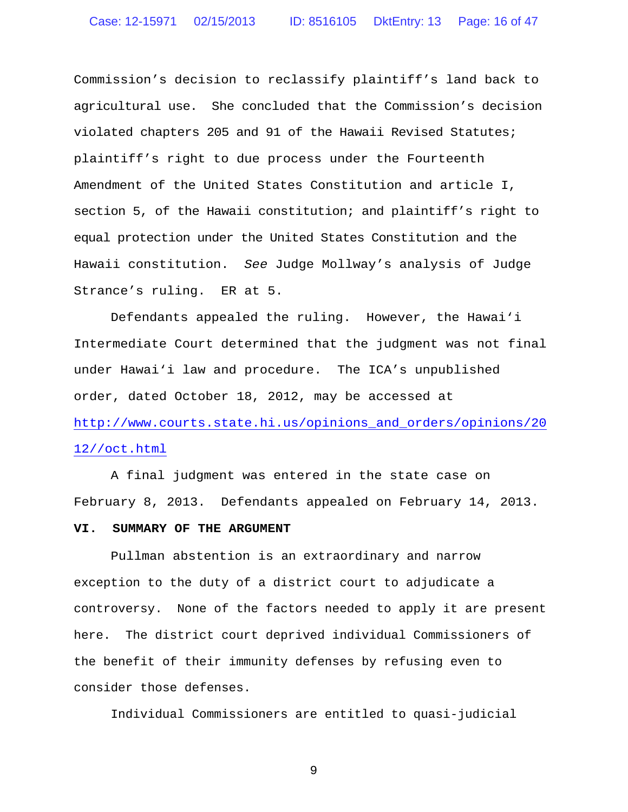Commission's decision to reclassify plaintiff's land back to agricultural use. She concluded that the Commission's decision violated chapters 205 and 91 of the Hawaii Revised Statutes; plaintiff's right to due process under the Fourteenth Amendment of the United States Constitution and article I, section 5, of the Hawaii constitution; and plaintiff's right to equal protection under the United States Constitution and the Hawaii constitution. *See* Judge Mollway's analysis of Judge Strance's ruling. ER at 5.

Defendants appealed the ruling. However, the Hawai'i Intermediate Court determined that the judgment was not final under Hawai'i law and procedure. The ICA's unpublished order, dated October 18, 2012, may be accessed at http://www.courts.state.hi.us/opinions\_and\_orders/opinions/20 12//oct.html

A final judgment was entered in the state case on February 8, 2013. Defendants appealed on February 14, 2013.

# **VI. SUMMARY OF THE ARGUMENT**

Pullman abstention is an extraordinary and narrow exception to the duty of a district court to adjudicate a controversy. None of the factors needed to apply it are present here. The district court deprived individual Commissioners of the benefit of their immunity defenses by refusing even to consider those defenses.

Individual Commissioners are entitled to quasi-judicial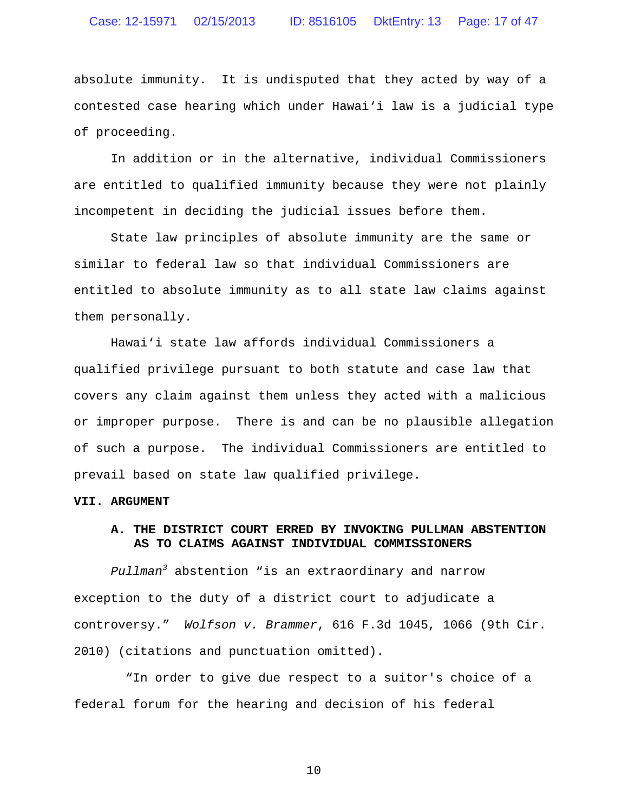# Case: 12-15971 02/15/2013 ID: 8516105 DktEntry: 13 Page: 17 of 47

absolute immunity. It is undisputed that they acted by way of a contested case hearing which under Hawai'i law is a judicial type of proceeding.

In addition or in the alternative, individual Commissioners are entitled to qualified immunity because they were not plainly incompetent in deciding the judicial issues before them.

State law principles of absolute immunity are the same or similar to federal law so that individual Commissioners are entitled to absolute immunity as to all state law claims against them personally.

Hawai'i state law affords individual Commissioners a qualified privilege pursuant to both statute and case law that covers any claim against them unless they acted with a malicious or improper purpose. There is and can be no plausible allegation of such a purpose. The individual Commissioners are entitled to prevail based on state law qualified privilege.

### **VII. ARGUMENT**

# **A. THE DISTRICT COURT ERRED BY INVOKING PULLMAN ABSTENTION AS TO CLAIMS AGAINST INDIVIDUAL COMMISSIONERS**

*Pullman<sup>3</sup>* abstention "is an extraordinary and narrow exception to the duty of a district court to adjudicate a controversy." *Wolfson v. Brammer*, 616 F.3d 1045, 1066 (9th Cir. 2010) (citations and punctuation omitted).

"In order to give due respect to a suitor's choice of a federal forum for the hearing and decision of his federal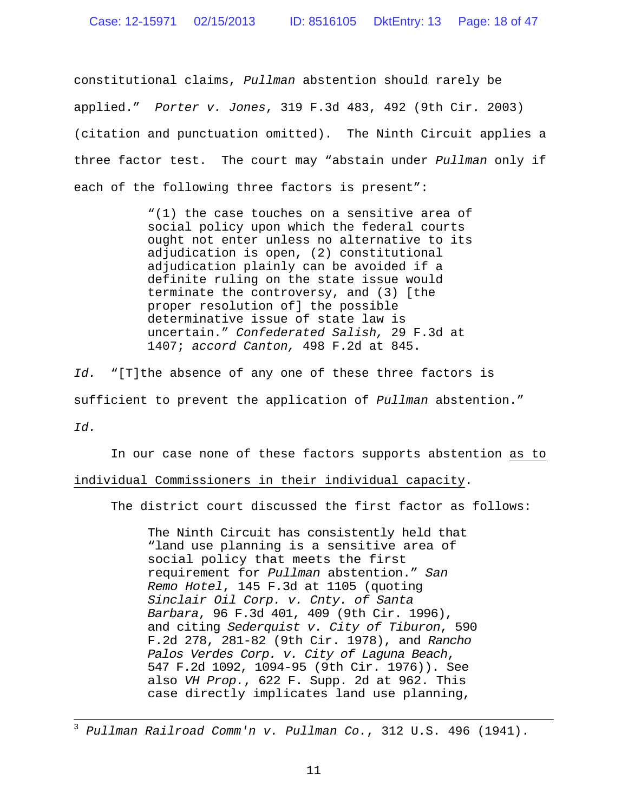constitutional claims, *Pullman* abstention should rarely be applied." *Porter v. Jones*, 319 F.3d 483, 492 (9th Cir. 2003) (citation and punctuation omitted). The Ninth Circuit applies a three factor test. The court may "abstain under *Pullman* only if each of the following three factors is present":

> "(1) the case touches on a sensitive area of social policy upon which the federal courts ought not enter unless no alternative to its adjudication is open, (2) constitutional adjudication plainly can be avoided if a definite ruling on the state issue would terminate the controversy, and (3) [the proper resolution of] the possible determinative issue of state law is uncertain." *Confederated Salish,* 29 F.3d at 1407; *accord Canton,* 498 F.2d at 845.

*Id.* "[T]the absence of any one of these three factors is sufficient to prevent the application of *Pullman* abstention." *Id.*

In our case none of these factors supports abstention as to individual Commissioners in their individual capacity.

The district court discussed the first factor as follows:

The Ninth Circuit has consistently held that "land use planning is a sensitive area of social policy that meets the first requirement for *Pullman* abstention." *San Remo Hotel*, 145 F.3d at 1105 (quoting *Sinclair Oil Corp. v. Cnty. of Santa Barbara*, 96 F.3d 401, 409 (9th Cir. 1996), and citing *Sederquist v. City of Tiburon*, 590 F.2d 278, 281-82 (9th Cir. 1978), and *Rancho Palos Verdes Corp. v. City of Laguna Beach*, 547 F.2d 1092, 1094-95 (9th Cir. 1976)). See also *VH Prop.*, 622 F. Supp. 2d at 962. This case directly implicates land use planning,

<sup>3</sup> *Pullman Railroad Comm'n v. Pullman Co.*, 312 U.S. 496 (1941).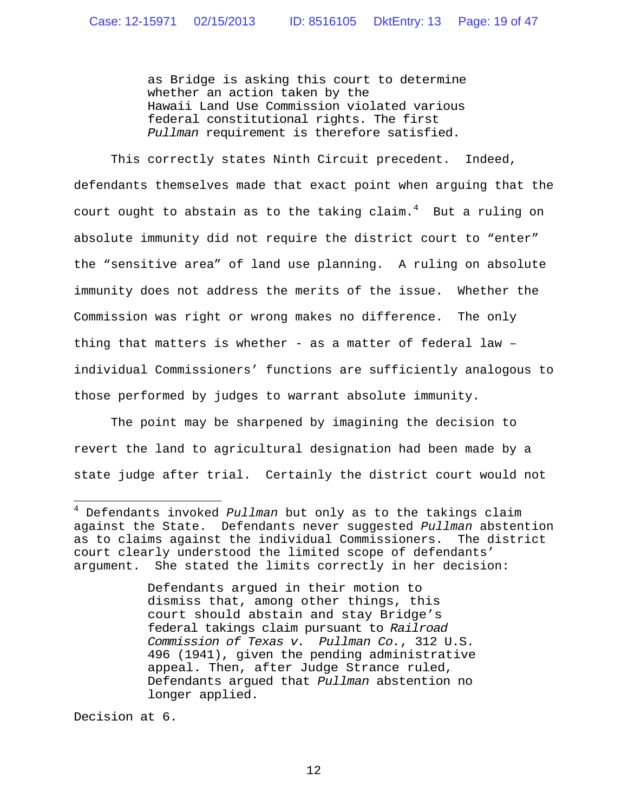as Bridge is asking this court to determine whether an action taken by the Hawaii Land Use Commission violated various federal constitutional rights. The first *Pullman* requirement is therefore satisfied.

This correctly states Ninth Circuit precedent. Indeed, defendants themselves made that exact point when arguing that the court ought to abstain as to the taking  $c$ laim.<sup>4</sup> But a ruling on absolute immunity did not require the district court to "enter" the "sensitive area" of land use planning. A ruling on absolute immunity does not address the merits of the issue. Whether the Commission was right or wrong makes no difference. The only thing that matters is whether - as a matter of federal law – individual Commissioners' functions are sufficiently analogous to those performed by judges to warrant absolute immunity.

The point may be sharpened by imagining the decision to revert the land to agricultural designation had been made by a state judge after trial. Certainly the district court would not

Defendants argued in their motion to dismiss that, among other things, this court should abstain and stay Bridge's federal takings claim pursuant to *Railroad Commission of Texas v. Pullman Co.*, 312 U.S. 496 (1941), given the pending administrative appeal. Then, after Judge Strance ruled, Defendants argued that *Pullman* abstention no longer applied.

Decision at 6.

<sup>4</sup> Defendants invoked *Pullman* but only as to the takings claim against the State. Defendants never suggested *Pullman* abstention as to claims against the individual Commissioners. The district court clearly understood the limited scope of defendants' argument. She stated the limits correctly in her decision: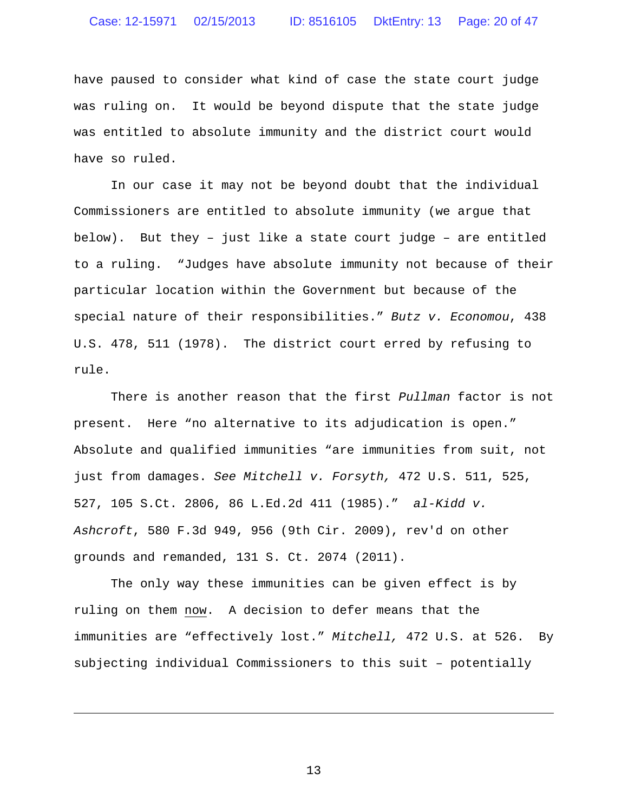# Case: 12-15971 02/15/2013 ID: 8516105 DktEntry: 13 Page: 20 of 47

have paused to consider what kind of case the state court judge was ruling on. It would be beyond dispute that the state judge was entitled to absolute immunity and the district court would have so ruled.

In our case it may not be beyond doubt that the individual Commissioners are entitled to absolute immunity (we argue that below). But they – just like a state court judge – are entitled to a ruling. "Judges have absolute immunity not because of their particular location within the Government but because of the special nature of their responsibilities." *Butz v. Economou*, 438 U.S. 478, 511 (1978). The district court erred by refusing to rule.

There is another reason that the first *Pullman* factor is not present. Here "no alternative to its adjudication is open." Absolute and qualified immunities "are immunities from suit, not just from damages. *See Mitchell v. Forsyth,* 472 U.S. 511, 525, 527, 105 S.Ct. 2806, 86 L.Ed.2d 411 (1985)." *al-Kidd v. Ashcroft*, 580 F.3d 949, 956 (9th Cir. 2009), rev'd on other grounds and remanded, 131 S. Ct. 2074 (2011).

The only way these immunities can be given effect is by ruling on them now. A decision to defer means that the immunities are "effectively lost." *Mitchell,* 472 U.S. at 526. By subjecting individual Commissioners to this suit – potentially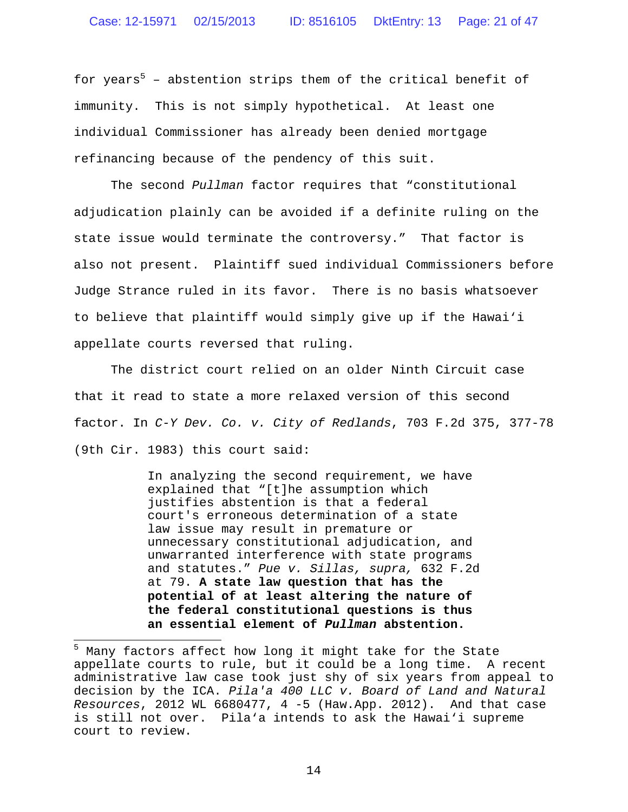for years<sup>5</sup> - abstention strips them of the critical benefit of immunity. This is not simply hypothetical. At least one individual Commissioner has already been denied mortgage refinancing because of the pendency of this suit.

The second *Pullman* factor requires that "constitutional adjudication plainly can be avoided if a definite ruling on the state issue would terminate the controversy." That factor is also not present. Plaintiff sued individual Commissioners before Judge Strance ruled in its favor. There is no basis whatsoever to believe that plaintiff would simply give up if the Hawai'i appellate courts reversed that ruling.

The district court relied on an older Ninth Circuit case that it read to state a more relaxed version of this second factor. In *C-Y Dev. Co. v. City of Redlands*, 703 F.2d 375, 377-78 (9th Cir. 1983) this court said:

> In analyzing the second requirement, we have explained that "[t]he assumption which justifies abstention is that a federal court's erroneous determination of a state law issue may result in premature or unnecessary constitutional adjudication, and unwarranted interference with state programs and statutes." *Pue v. Sillas, supra,* 632 F.2d at 79. **A state law question that has the potential of at least altering the nature of the federal constitutional questions is thus an essential element of** *Pullman* **abstention.**

<sup>&</sup>lt;sup>5</sup> Many factors affect how long it might take for the State appellate courts to rule, but it could be a long time. A recent administrative law case took just shy of six years from appeal to decision by the ICA. *Pila'a 400 LLC v. Board of Land and Natural Resources*, 2012 WL 6680477, 4 -5 (Haw.App. 2012). And that case is still not over. Pila'a intends to ask the Hawai'i supreme court to review.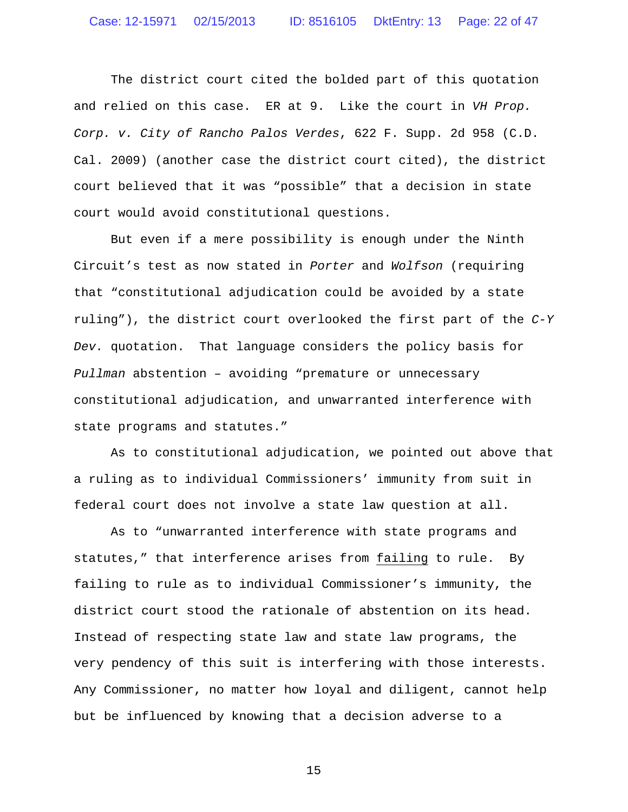The district court cited the bolded part of this quotation and relied on this case. ER at 9. Like the court in *VH Prop. Corp. v. City of Rancho Palos Verdes*, 622 F. Supp. 2d 958 (C.D. Cal. 2009) (another case the district court cited), the district court believed that it was "possible" that a decision in state court would avoid constitutional questions.

But even if a mere possibility is enough under the Ninth Circuit's test as now stated in *Porter* and *Wolfson* (requiring that "constitutional adjudication could be avoided by a state ruling"), the district court overlooked the first part of the *C-Y Dev.* quotation. That language considers the policy basis for *Pullman* abstention – avoiding "premature or unnecessary constitutional adjudication, and unwarranted interference with state programs and statutes."

As to constitutional adjudication, we pointed out above that a ruling as to individual Commissioners' immunity from suit in federal court does not involve a state law question at all.

As to "unwarranted interference with state programs and statutes," that interference arises from failing to rule. By failing to rule as to individual Commissioner's immunity, the district court stood the rationale of abstention on its head. Instead of respecting state law and state law programs, the very pendency of this suit is interfering with those interests. Any Commissioner, no matter how loyal and diligent, cannot help but be influenced by knowing that a decision adverse to a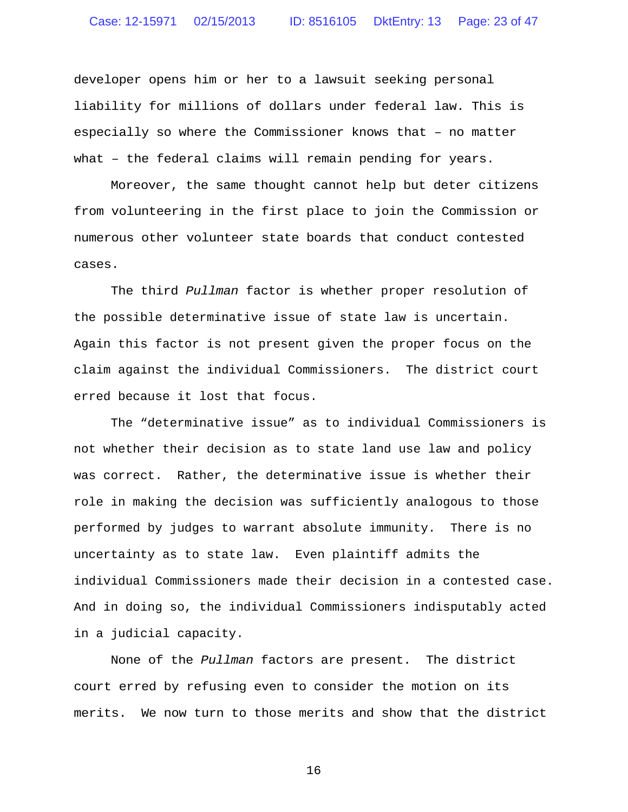developer opens him or her to a lawsuit seeking personal liability for millions of dollars under federal law. This is especially so where the Commissioner knows that – no matter what – the federal claims will remain pending for years.

Moreover, the same thought cannot help but deter citizens from volunteering in the first place to join the Commission or numerous other volunteer state boards that conduct contested cases.

The third *Pullman* factor is whether proper resolution of the possible determinative issue of state law is uncertain. Again this factor is not present given the proper focus on the claim against the individual Commissioners. The district court erred because it lost that focus.

The "determinative issue" as to individual Commissioners is not whether their decision as to state land use law and policy was correct. Rather, the determinative issue is whether their role in making the decision was sufficiently analogous to those performed by judges to warrant absolute immunity. There is no uncertainty as to state law. Even plaintiff admits the individual Commissioners made their decision in a contested case. And in doing so, the individual Commissioners indisputably acted in a judicial capacity.

None of the *Pullman* factors are present. The district court erred by refusing even to consider the motion on its merits. We now turn to those merits and show that the district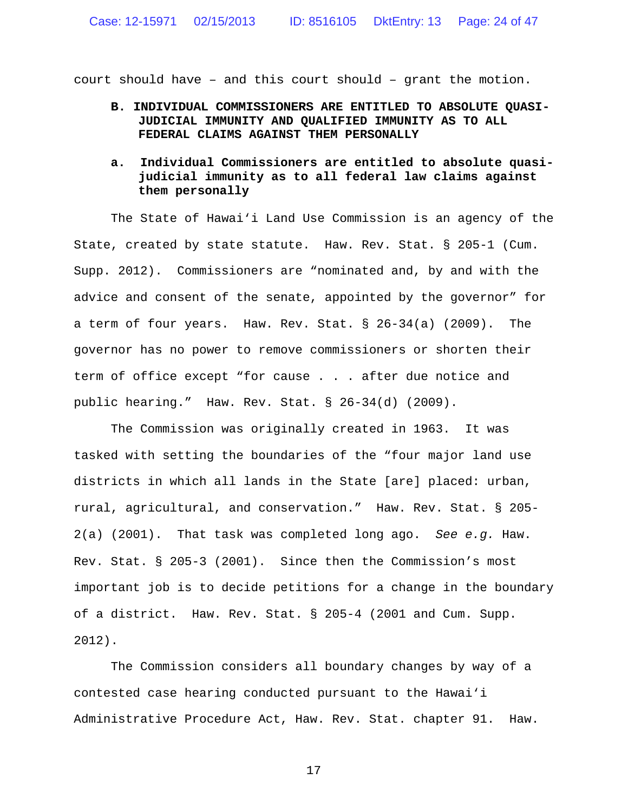court should have – and this court should – grant the motion.

- **B. INDIVIDUAL COMMISSIONERS ARE ENTITLED TO ABSOLUTE QUASI-JUDICIAL IMMUNITY AND QUALIFIED IMMUNITY AS TO ALL FEDERAL CLAIMS AGAINST THEM PERSONALLY**
- **a. Individual Commissioners are entitled to absolute quasijudicial immunity as to all federal law claims against them personally**

The State of Hawai'i Land Use Commission is an agency of the State, created by state statute. Haw. Rev. Stat. § 205-1 (Cum. Supp. 2012). Commissioners are "nominated and, by and with the advice and consent of the senate, appointed by the governor" for a term of four years. Haw. Rev. Stat. § 26-34(a) (2009). The governor has no power to remove commissioners or shorten their term of office except "for cause . . . after due notice and public hearing." Haw. Rev. Stat. § 26-34(d) (2009).

The Commission was originally created in 1963. It was tasked with setting the boundaries of the "four major land use districts in which all lands in the State [are] placed: urban, rural, agricultural, and conservation." Haw. Rev. Stat. § 205- 2(a) (2001). That task was completed long ago. *See e.g.* Haw. Rev. Stat. § 205-3 (2001). Since then the Commission's most important job is to decide petitions for a change in the boundary of a district. Haw. Rev. Stat. § 205-4 (2001 and Cum. Supp. 2012).

The Commission considers all boundary changes by way of a contested case hearing conducted pursuant to the Hawai'i Administrative Procedure Act, Haw. Rev. Stat. chapter 91. Haw.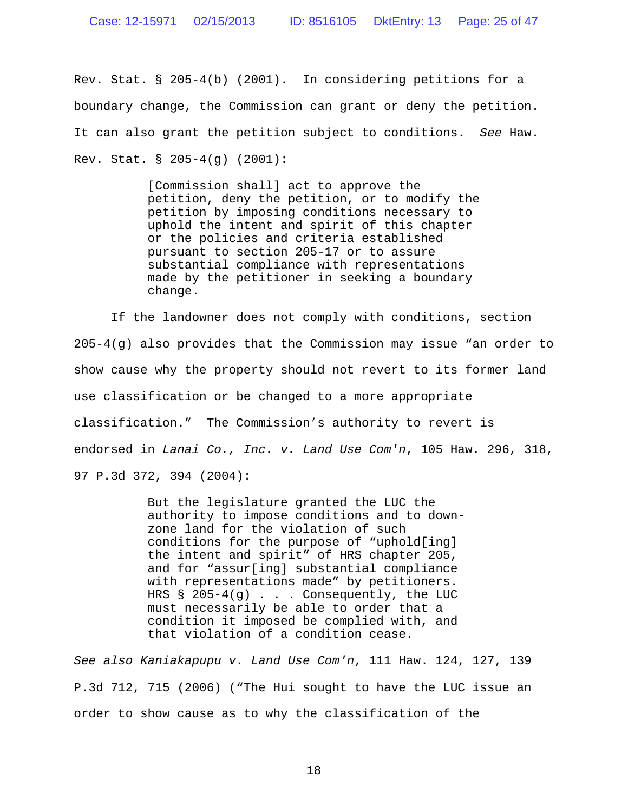Rev. Stat. § 205-4(b) (2001). In considering petitions for a boundary change, the Commission can grant or deny the petition. It can also grant the petition subject to conditions. *See* Haw. Rev. Stat. § 205-4(g) (2001):

> [Commission shall] act to approve the petition, deny the petition, or to modify the petition by imposing conditions necessary to uphold the intent and spirit of this chapter or the policies and criteria established pursuant to section 205-17 or to assure substantial compliance with representations made by the petitioner in seeking a boundary change.

If the landowner does not comply with conditions, section 205-4(g) also provides that the Commission may issue "an order to show cause why the property should not revert to its former land use classification or be changed to a more appropriate classification." The Commission's authority to revert is endorsed in *Lanai Co., Inc. v. Land Use Com'n*, 105 Haw. 296, 318, 97 P.3d 372, 394 (2004):

> But the legislature granted the LUC the authority to impose conditions and to downzone land for the violation of such conditions for the purpose of "uphold[ing] the intent and spirit" of HRS chapter 205, and for "assur[ing] substantial compliance with representations made" by petitioners. HRS  $§$  205-4(g)... Consequently, the LUC must necessarily be able to order that a condition it imposed be complied with, and that violation of a condition cease.

*See also Kaniakapupu v. Land Use Com'n*, 111 Haw. 124, 127, 139 P.3d 712, 715 (2006) ("The Hui sought to have the LUC issue an order to show cause as to why the classification of the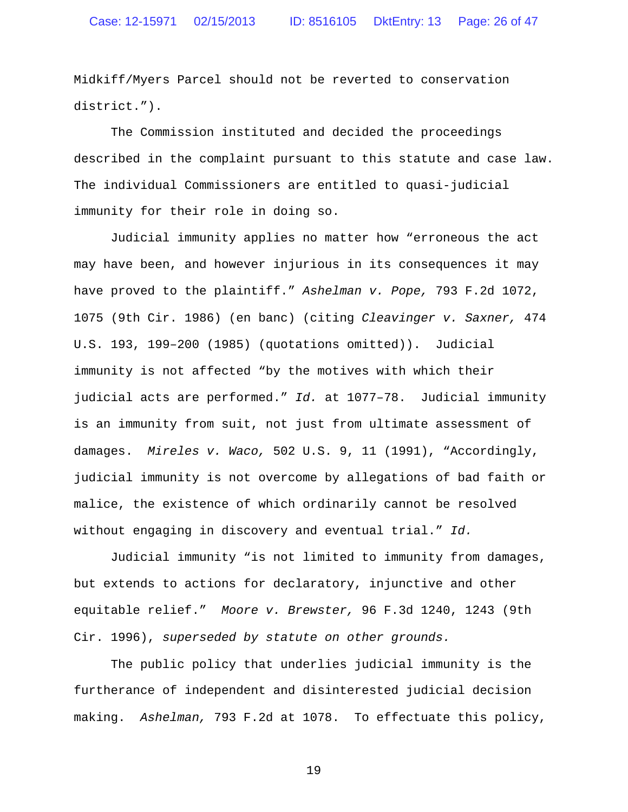Midkiff/Myers Parcel should not be reverted to conservation district.").

The Commission instituted and decided the proceedings described in the complaint pursuant to this statute and case law. The individual Commissioners are entitled to quasi-judicial immunity for their role in doing so.

Judicial immunity applies no matter how "erroneous the act may have been, and however injurious in its consequences it may have proved to the plaintiff." *Ashelman v. Pope,* 793 F.2d 1072, 1075 (9th Cir. 1986) (en banc) (citing *Cleavinger v. Saxner,* 474 U.S. 193, 199–200 (1985) (quotations omitted)). Judicial immunity is not affected "by the motives with which their judicial acts are performed." *Id.* at 1077–78. Judicial immunity is an immunity from suit, not just from ultimate assessment of damages. *Mireles v. Waco,* 502 U.S. 9, 11 (1991), "Accordingly, judicial immunity is not overcome by allegations of bad faith or malice, the existence of which ordinarily cannot be resolved without engaging in discovery and eventual trial." *Id.*

Judicial immunity "is not limited to immunity from damages, but extends to actions for declaratory, injunctive and other equitable relief." *Moore v. Brewster,* 96 F.3d 1240, 1243 (9th Cir. 1996), *superseded by statute on other grounds.*

The public policy that underlies judicial immunity is the furtherance of independent and disinterested judicial decision making. *Ashelman,* 793 F.2d at 1078. To effectuate this policy,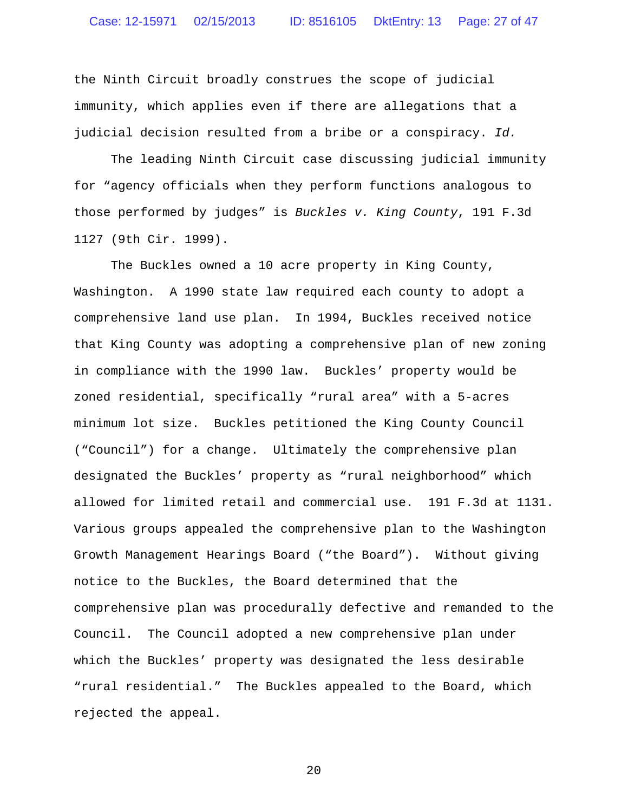the Ninth Circuit broadly construes the scope of judicial immunity, which applies even if there are allegations that a judicial decision resulted from a bribe or a conspiracy. *Id.*

The leading Ninth Circuit case discussing judicial immunity for "agency officials when they perform functions analogous to those performed by judges" is *Buckles v. King County*, 191 F.3d 1127 (9th Cir. 1999).

The Buckles owned a 10 acre property in King County, Washington. A 1990 state law required each county to adopt a comprehensive land use plan. In 1994, Buckles received notice that King County was adopting a comprehensive plan of new zoning in compliance with the 1990 law. Buckles' property would be zoned residential, specifically "rural area" with a 5-acres minimum lot size. Buckles petitioned the King County Council ("Council") for a change. Ultimately the comprehensive plan designated the Buckles' property as "rural neighborhood" which allowed for limited retail and commercial use. 191 F.3d at 1131. Various groups appealed the comprehensive plan to the Washington Growth Management Hearings Board ("the Board"). Without giving notice to the Buckles, the Board determined that the comprehensive plan was procedurally defective and remanded to the Council. The Council adopted a new comprehensive plan under which the Buckles' property was designated the less desirable "rural residential." The Buckles appealed to the Board, which rejected the appeal.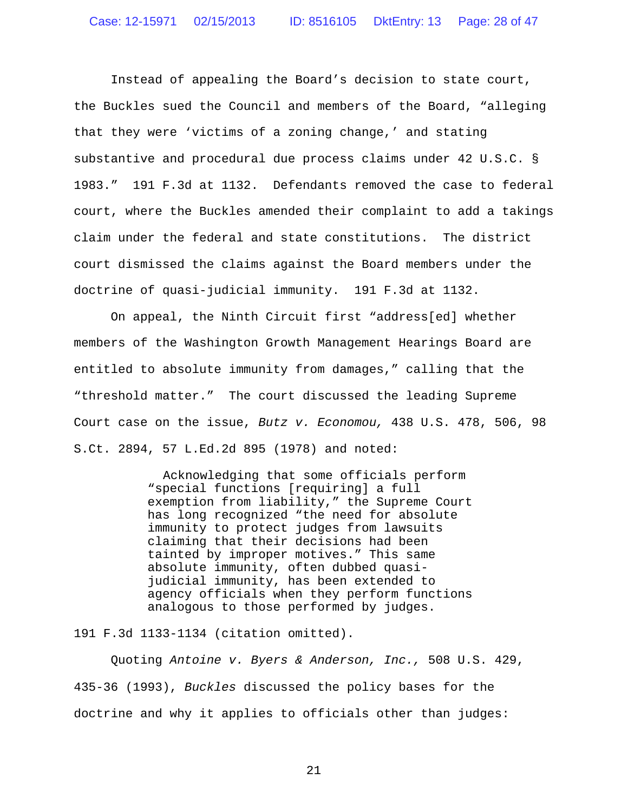Instead of appealing the Board's decision to state court, the Buckles sued the Council and members of the Board, "alleging that they were 'victims of a zoning change,' and stating substantive and procedural due process claims under 42 U.S.C. § 1983." 191 F.3d at 1132. Defendants removed the case to federal court, where the Buckles amended their complaint to add a takings claim under the federal and state constitutions. The district court dismissed the claims against the Board members under the doctrine of quasi-judicial immunity. 191 F.3d at 1132.

On appeal, the Ninth Circuit first "address[ed] whether members of the Washington Growth Management Hearings Board are entitled to absolute immunity from damages," calling that the "threshold matter." The court discussed the leading Supreme Court case on the issue, *Butz v. Economou,* 438 U.S. 478, 506, 98 S.Ct. 2894, 57 L.Ed.2d 895 (1978) and noted:

> Acknowledging that some officials perform "special functions [requiring] a full exemption from liability," the Supreme Court has long recognized "the need for absolute immunity to protect judges from lawsuits claiming that their decisions had been tainted by improper motives." This same absolute immunity, often dubbed quasijudicial immunity, has been extended to agency officials when they perform functions analogous to those performed by judges.

191 F.3d 1133-1134 (citation omitted).

Quoting *Antoine v. Byers & Anderson, Inc.,* 508 U.S. 429, 435-36 (1993), *Buckles* discussed the policy bases for the doctrine and why it applies to officials other than judges: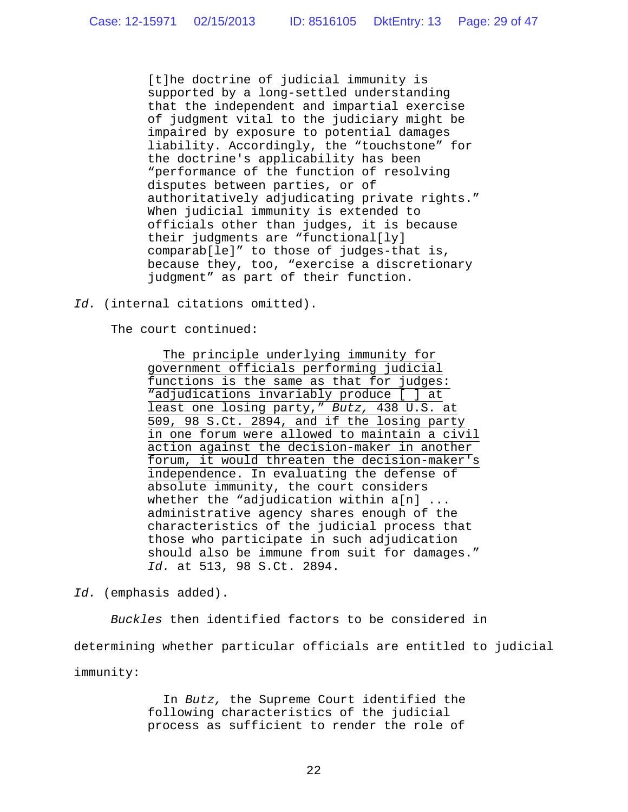[t]he doctrine of judicial immunity is supported by a long-settled understanding that the independent and impartial exercise of judgment vital to the judiciary might be impaired by exposure to potential damages liability. Accordingly, the "touchstone" for the doctrine's applicability has been "performance of the function of resolving disputes between parties, or of authoritatively adjudicating private rights." When judicial immunity is extended to officials other than judges, it is because their judgments are "functional[ly] comparab[le]" to those of judges-that is, because they, too, "exercise a discretionary judgment" as part of their function.

*Id.* (internal citations omitted).

The court continued:

The principle underlying immunity for government officials performing judicial functions is the same as that for judges: "adjudications invariably produce [ ] at least one losing party," *Butz,* 438 U.S. at 509, 98 S.Ct. 2894, and if the losing party in one forum were allowed to maintain a civil action against the decision-maker in another forum, it would threaten the decision-maker's independence. In evaluating the defense of absolute immunity, the court considers whether the "adjudication within a[n] ... administrative agency shares enough of the characteristics of the judicial process that those who participate in such adjudication should also be immune from suit for damages." *Id.* at 513, 98 S.Ct. 2894.

*Id.* (emphasis added).

*Buckles* then identified factors to be considered in determining whether particular officials are entitled to judicial immunity:

> In *Butz,* the Supreme Court identified the following characteristics of the judicial process as sufficient to render the role of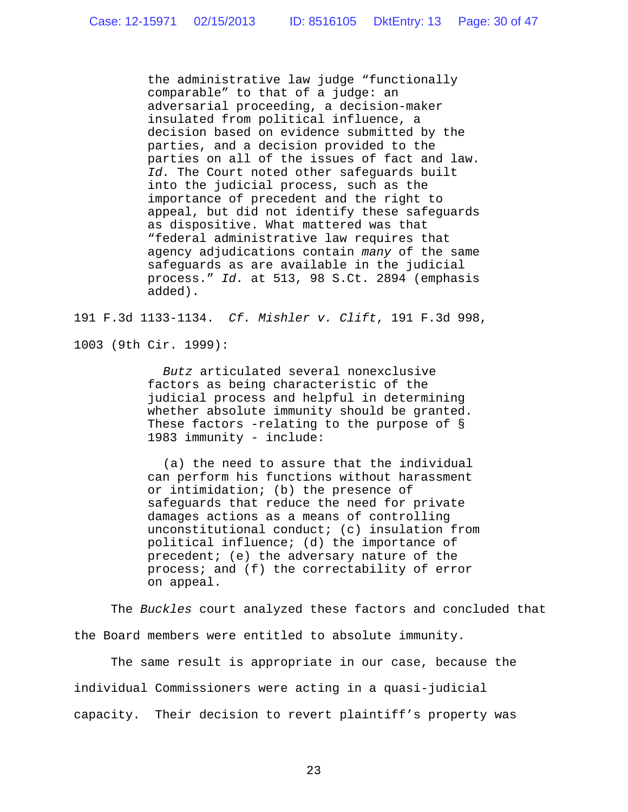the administrative law judge "functionally comparable" to that of a judge: an adversarial proceeding, a decision-maker insulated from political influence, a decision based on evidence submitted by the parties, and a decision provided to the parties on all of the issues of fact and law. *Id.* The Court noted other safeguards built into the judicial process, such as the importance of precedent and the right to appeal, but did not identify these safeguards as dispositive. What mattered was that "federal administrative law requires that agency adjudications contain *many* of the same safeguards as are available in the judicial process." *Id.* at 513, 98 S.Ct. 2894 (emphasis added).

191 F.3d 1133-1134. *Cf. Mishler v. Clift*, 191 F.3d 998,

1003 (9th Cir. 1999):

*Butz* articulated several nonexclusive factors as being characteristic of the judicial process and helpful in determining whether absolute immunity should be granted. These factors -relating to the purpose of § 1983 immunity - include:

(a) the need to assure that the individual can perform his functions without harassment or intimidation; (b) the presence of safeguards that reduce the need for private damages actions as a means of controlling unconstitutional conduct; (c) insulation from political influence; (d) the importance of precedent; (e) the adversary nature of the process; and (f) the correctability of error on appeal.

The *Buckles* court analyzed these factors and concluded that the Board members were entitled to absolute immunity.

The same result is appropriate in our case, because the individual Commissioners were acting in a quasi-judicial capacity. Their decision to revert plaintiff's property was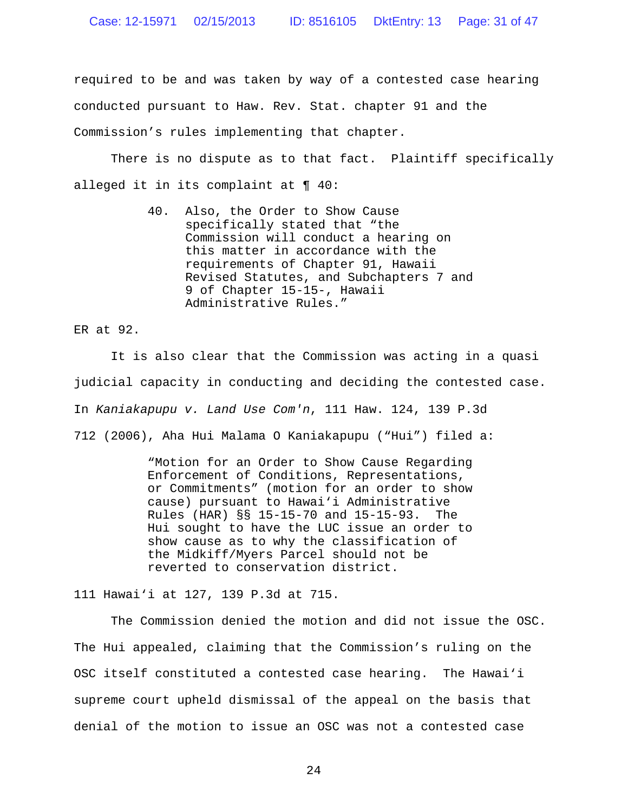required to be and was taken by way of a contested case hearing conducted pursuant to Haw. Rev. Stat. chapter 91 and the Commission's rules implementing that chapter.

There is no dispute as to that fact. Plaintiff specifically alleged it in its complaint at ¶ 40:

> 40. Also, the Order to Show Cause specifically stated that "the Commission will conduct a hearing on this matter in accordance with the requirements of Chapter 91, Hawaii Revised Statutes, and Subchapters 7 and 9 of Chapter 15-15-, Hawaii Administrative Rules."

ER at 92.

It is also clear that the Commission was acting in a quasi judicial capacity in conducting and deciding the contested case. In *Kaniakapupu v. Land Use Com'n*, 111 Haw. 124, 139 P.3d 712 (2006), Aha Hui Malama O Kaniakapupu ("Hui") filed a:

> "Motion for an Order to Show Cause Regarding Enforcement of Conditions, Representations, or Commitments" (motion for an order to show cause) pursuant to Hawai'i Administrative Rules (HAR) §§ 15-15-70 and 15-15-93. The Hui sought to have the LUC issue an order to show cause as to why the classification of the Midkiff/Myers Parcel should not be reverted to conservation district.

111 Hawai'i at 127, 139 P.3d at 715.

The Commission denied the motion and did not issue the OSC. The Hui appealed, claiming that the Commission's ruling on the OSC itself constituted a contested case hearing. The Hawai'i supreme court upheld dismissal of the appeal on the basis that denial of the motion to issue an OSC was not a contested case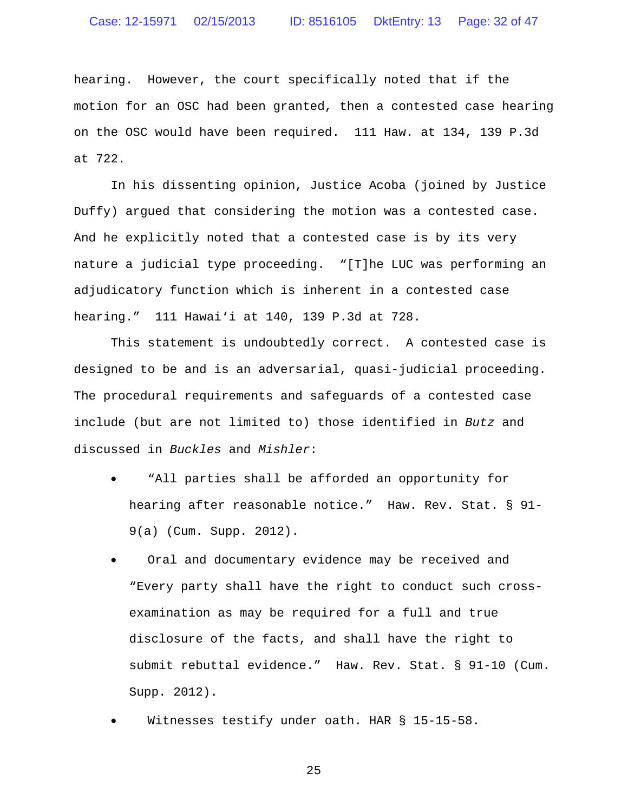# Case: 12-15971 02/15/2013 ID: 8516105 DktEntry: 13 Page: 32 of 47

hearing. However, the court specifically noted that if the motion for an OSC had been granted, then a contested case hearing on the OSC would have been required. 111 Haw. at 134, 139 P.3d at 722.

In his dissenting opinion, Justice Acoba (joined by Justice Duffy) argued that considering the motion was a contested case. And he explicitly noted that a contested case is by its very nature a judicial type proceeding. "[T]he LUC was performing an adjudicatory function which is inherent in a contested case hearing." 111 Hawai'i at 140, 139 P.3d at 728.

This statement is undoubtedly correct. A contested case is designed to be and is an adversarial, quasi-judicial proceeding. The procedural requirements and safeguards of a contested case include (but are not limited to) those identified in *Butz* and discussed in *Buckles* and *Mishler*:

- "All parties shall be afforded an opportunity for hearing after reasonable notice." Haw. Rev. Stat. § 91- 9(a) (Cum. Supp. 2012).
- Oral and documentary evidence may be received and "Every party shall have the right to conduct such crossexamination as may be required for a full and true disclosure of the facts, and shall have the right to submit rebuttal evidence." Haw. Rev. Stat. § 91-10 (Cum. Supp. 2012).
- Witnesses testify under oath. HAR § 15-15-58.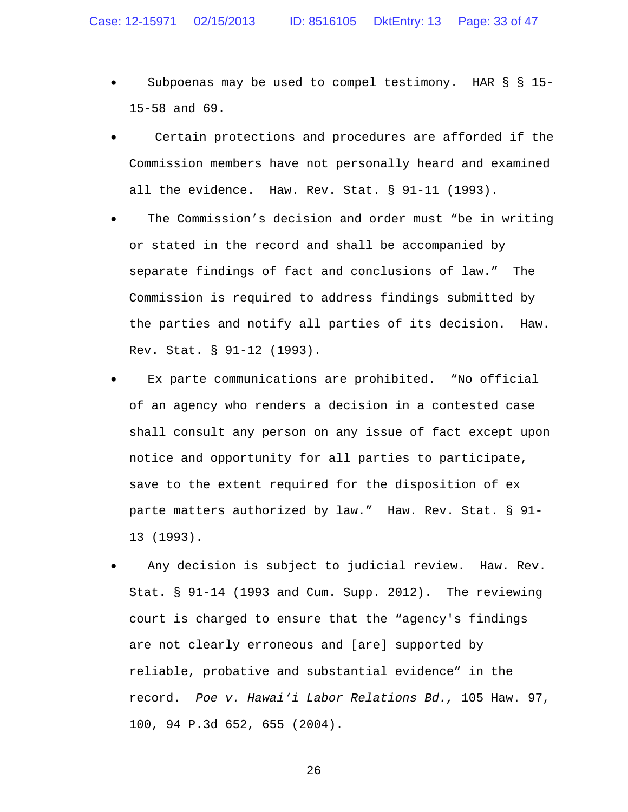- Subpoenas may be used to compel testimony. HAR § § 15- 15-58 and 69.
- Certain protections and procedures are afforded if the Commission members have not personally heard and examined all the evidence. Haw. Rev. Stat. § 91-11 (1993).
- The Commission's decision and order must "be in writing or stated in the record and shall be accompanied by separate findings of fact and conclusions of law." The Commission is required to address findings submitted by the parties and notify all parties of its decision. Haw. Rev. Stat. § 91-12 (1993).
- Ex parte communications are prohibited. "No official of an agency who renders a decision in a contested case shall consult any person on any issue of fact except upon notice and opportunity for all parties to participate, save to the extent required for the disposition of ex parte matters authorized by law." Haw. Rev. Stat. § 91- 13 (1993).
- Any decision is subject to judicial review. Haw. Rev. Stat. § 91-14 (1993 and Cum. Supp. 2012). The reviewing court is charged to ensure that the "agency's findings are not clearly erroneous and [are] supported by reliable, probative and substantial evidence" in the record. *Poe v. Hawai'i Labor Relations Bd.,* 105 Haw. 97, 100, 94 P.3d 652, 655 (2004).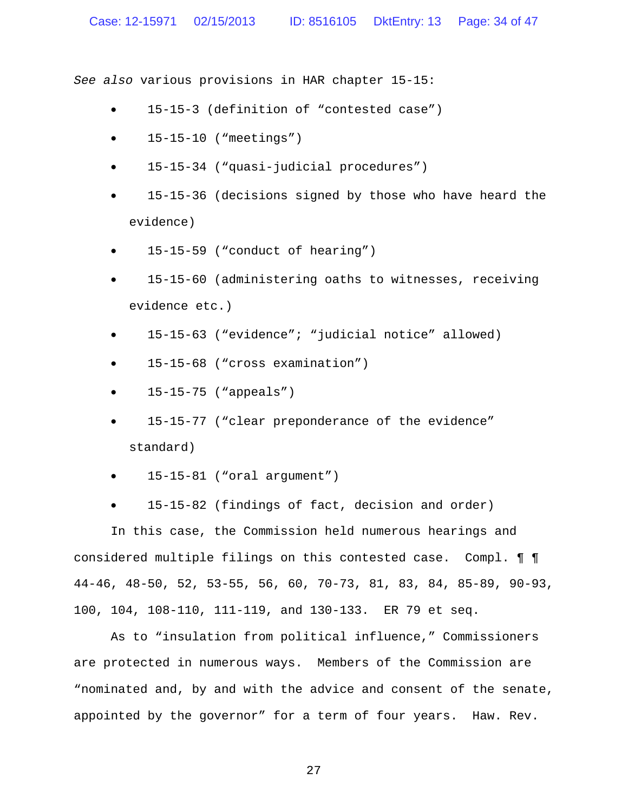*See also* various provisions in HAR chapter 15-15:

- 15-15-3 (definition of "contested case")
- 15-15-10 ("meetings")
- 15-15-34 ("quasi-judicial procedures")
- 15-15-36 (decisions signed by those who have heard the evidence)
- 15-15-59 ("conduct of hearing")
- 15-15-60 (administering oaths to witnesses, receiving evidence etc.)
- 15-15-63 ("evidence"; "judicial notice" allowed)
- 15-15-68 ("cross examination")
- 15-15-75 ("appeals")
- 15-15-77 ("clear preponderance of the evidence" standard)
- $\bullet$  15-15-81 ("oral argument")
- 15-15-82 (findings of fact, decision and order)

In this case, the Commission held numerous hearings and considered multiple filings on this contested case. Compl. ¶ ¶ 44-46, 48-50, 52, 53-55, 56, 60, 70-73, 81, 83, 84, 85-89, 90-93, 100, 104, 108-110, 111-119, and 130-133. ER 79 et seq.

As to "insulation from political influence," Commissioners are protected in numerous ways. Members of the Commission are "nominated and, by and with the advice and consent of the senate, appointed by the governor" for a term of four years. Haw. Rev.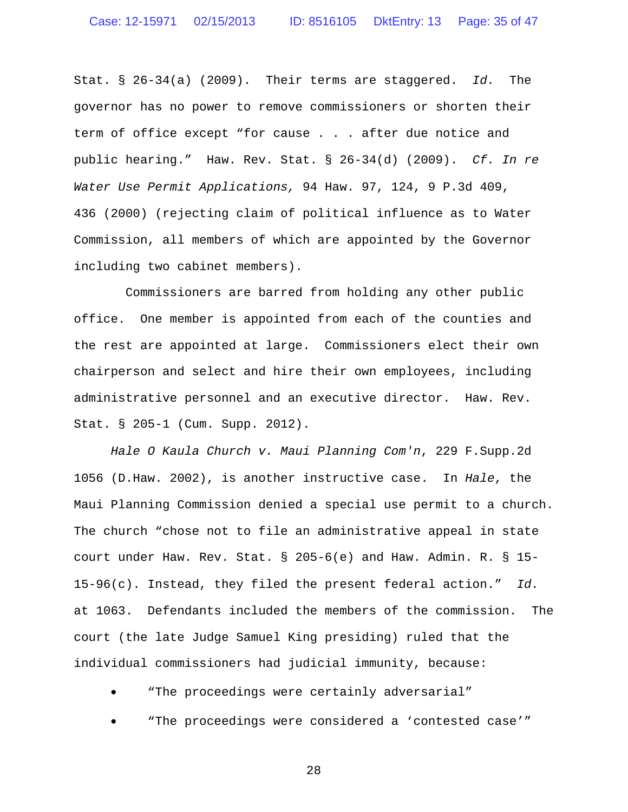Stat. § 26-34(a) (2009). Their terms are staggered. *Id.* The governor has no power to remove commissioners or shorten their term of office except "for cause . . . after due notice and public hearing." Haw. Rev. Stat. § 26-34(d) (2009). *Cf. In re Water Use Permit Applications,* 94 Haw. 97, 124, 9 P.3d 409, 436 (2000) (rejecting claim of political influence as to Water Commission, all members of which are appointed by the Governor including two cabinet members).

Commissioners are barred from holding any other public office. One member is appointed from each of the counties and the rest are appointed at large. Commissioners elect their own chairperson and select and hire their own employees, including administrative personnel and an executive director. Haw. Rev. Stat. § 205-1 (Cum. Supp. 2012).

*Hale O Kaula Church v. Maui Planning Com'n*, 229 F.Supp.2d 1056 (D.Haw. 2002), is another instructive case. In *Hale*, the Maui Planning Commission denied a special use permit to a church. The church "chose not to file an administrative appeal in state court under Haw. Rev. Stat. § 205-6(e) and Haw. Admin. R. § 15- 15-96(c). Instead, they filed the present federal action." *Id.* at 1063. Defendants included the members of the commission. The court (the late Judge Samuel King presiding) ruled that the individual commissioners had judicial immunity, because:

"The proceedings were certainly adversarial"

"The proceedings were considered a 'contested case'"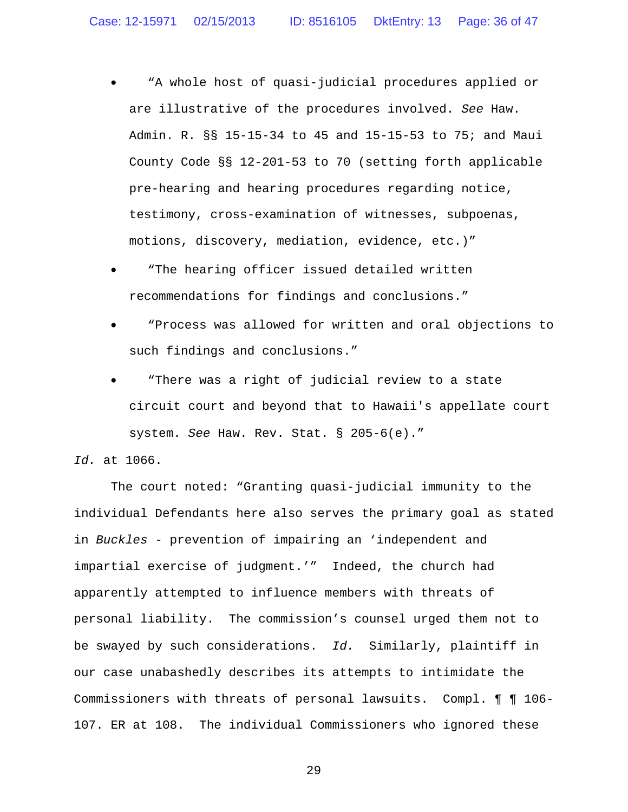- "A whole host of quasi-judicial procedures applied or are illustrative of the procedures involved. *See* Haw. Admin. R. §§ 15-15-34 to 45 and 15-15-53 to 75; and Maui County Code §§ 12-201-53 to 70 (setting forth applicable pre-hearing and hearing procedures regarding notice, testimony, cross-examination of witnesses, subpoenas, motions, discovery, mediation, evidence, etc.)"
- "The hearing officer issued detailed written recommendations for findings and conclusions."
- "Process was allowed for written and oral objections to such findings and conclusions."
- "There was a right of judicial review to a state circuit court and beyond that to Hawaii's appellate court system. *See* Haw. Rev. Stat. § 205-6(e)."

# *Id.* at 1066.

The court noted: "Granting quasi-judicial immunity to the individual Defendants here also serves the primary goal as stated in *Buckles* - prevention of impairing an 'independent and impartial exercise of judgment.'" Indeed, the church had apparently attempted to influence members with threats of personal liability. The commission's counsel urged them not to be swayed by such considerations. *Id.* Similarly, plaintiff in our case unabashedly describes its attempts to intimidate the Commissioners with threats of personal lawsuits. Compl. ¶ ¶ 106- 107. ER at 108. The individual Commissioners who ignored these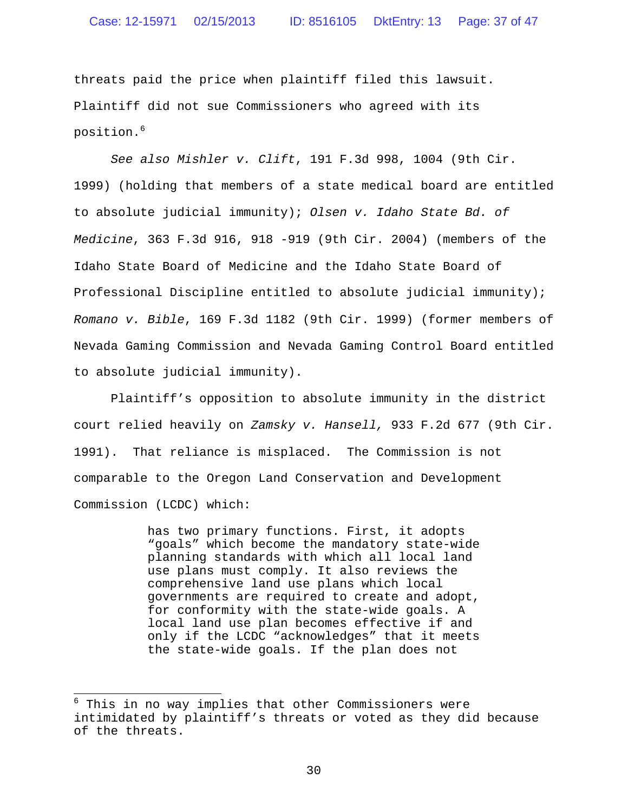### Case: 12-15971 02/15/2013 ID: 8516105 DktEntry: 13 Page: 37 of 47

threats paid the price when plaintiff filed this lawsuit. Plaintiff did not sue Commissioners who agreed with its position.<sup>6</sup>

*See also Mishler v. Clift*, 191 F.3d 998, 1004 (9th Cir. 1999) (holding that members of a state medical board are entitled to absolute judicial immunity); *Olsen v. Idaho State Bd. of Medicine*, 363 F.3d 916, 918 -919 (9th Cir. 2004) (members of the Idaho State Board of Medicine and the Idaho State Board of Professional Discipline entitled to absolute judicial immunity); *Romano v. Bible*, 169 F.3d 1182 (9th Cir. 1999) (former members of Nevada Gaming Commission and Nevada Gaming Control Board entitled to absolute judicial immunity).

Plaintiff's opposition to absolute immunity in the district court relied heavily on *Zamsky v. Hansell,* 933 F.2d 677 (9th Cir. 1991). That reliance is misplaced. The Commission is not comparable to the Oregon Land Conservation and Development Commission (LCDC) which:

> has two primary functions. First, it adopts "goals" which become the mandatory state-wide planning standards with which all local land use plans must comply. It also reviews the comprehensive land use plans which local governments are required to create and adopt, for conformity with the state-wide goals. A local land use plan becomes effective if and only if the LCDC "acknowledges" that it meets the state-wide goals. If the plan does not

 $6$  This in no way implies that other Commissioners were intimidated by plaintiff's threats or voted as they did because of the threats.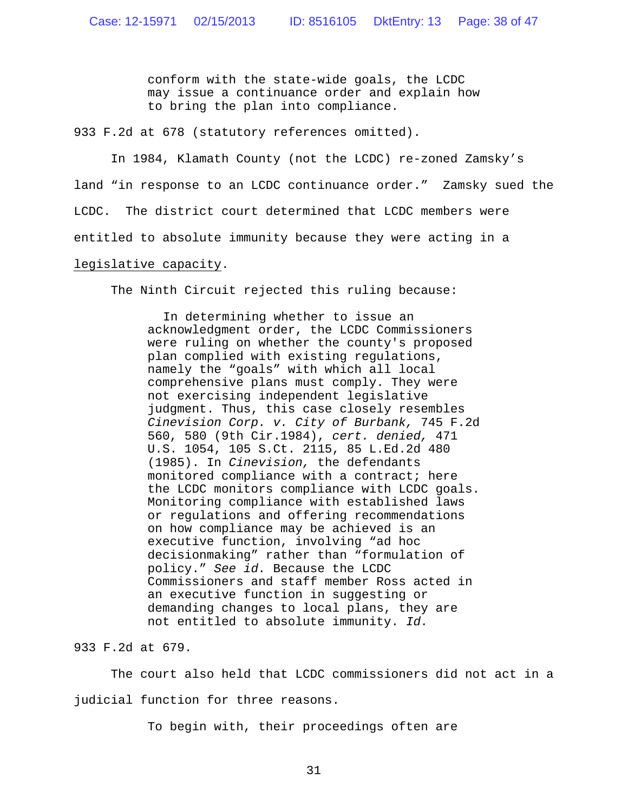conform with the state-wide goals, the LCDC may issue a continuance order and explain how to bring the plan into compliance.

933 F.2d at 678 (statutory references omitted).

In 1984, Klamath County (not the LCDC) re-zoned Zamsky's land "in response to an LCDC continuance order." Zamsky sued the LCDC. The district court determined that LCDC members were entitled to absolute immunity because they were acting in a legislative capacity.

The Ninth Circuit rejected this ruling because:

In determining whether to issue an acknowledgment order, the LCDC Commissioners were ruling on whether the county's proposed plan complied with existing regulations, namely the "goals" with which all local comprehensive plans must comply. They were not exercising independent legislative judgment. Thus, this case closely resembles *Cinevision Corp. v. City of Burbank,* 745 F.2d 560, 580 (9th Cir.1984), *cert. denied,* 471 U.S. 1054, 105 S.Ct. 2115, 85 L.Ed.2d 480 (1985). In *Cinevision,* the defendants monitored compliance with a contract; here the LCDC monitors compliance with LCDC goals. Monitoring compliance with established laws or regulations and offering recommendations on how compliance may be achieved is an executive function, involving "ad hoc decisionmaking" rather than "formulation of policy." *See id.* Because the LCDC Commissioners and staff member Ross acted in an executive function in suggesting or demanding changes to local plans, they are not entitled to absolute immunity. *Id.*

933 F.2d at 679.

The court also held that LCDC commissioners did not act in a judicial function for three reasons.

To begin with, their proceedings often are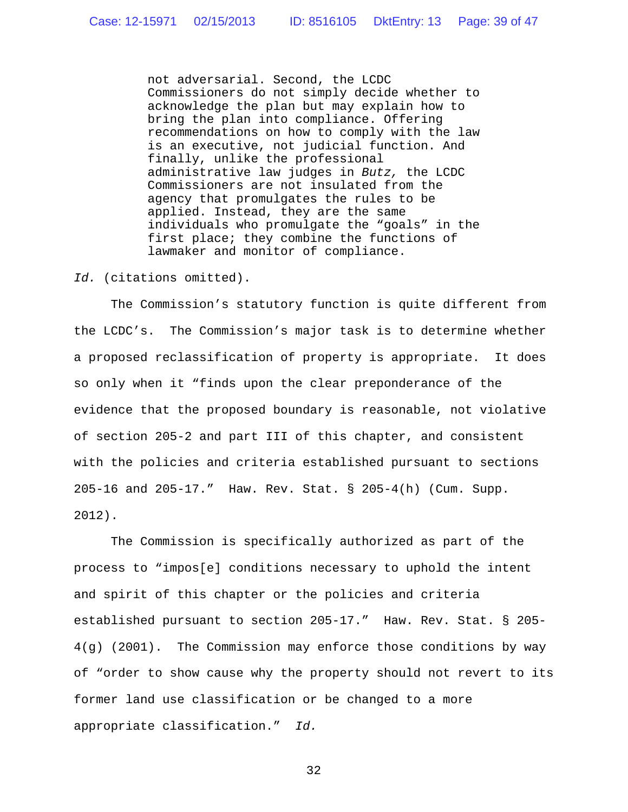not adversarial. Second, the LCDC Commissioners do not simply decide whether to acknowledge the plan but may explain how to bring the plan into compliance. Offering recommendations on how to comply with the law is an executive, not judicial function. And finally, unlike the professional administrative law judges in *Butz,* the LCDC Commissioners are not insulated from the agency that promulgates the rules to be applied. Instead, they are the same individuals who promulgate the "goals" in the first place; they combine the functions of lawmaker and monitor of compliance.

### *Id.* (citations omitted).

The Commission's statutory function is quite different from the LCDC's. The Commission's major task is to determine whether a proposed reclassification of property is appropriate. It does so only when it "finds upon the clear preponderance of the evidence that the proposed boundary is reasonable, not violative of section 205-2 and part III of this chapter, and consistent with the policies and criteria established pursuant to sections 205-16 and 205-17." Haw. Rev. Stat. § 205-4(h) (Cum. Supp. 2012).

The Commission is specifically authorized as part of the process to "impos[e] conditions necessary to uphold the intent and spirit of this chapter or the policies and criteria established pursuant to section 205-17." Haw. Rev. Stat. § 205- 4(g) (2001). The Commission may enforce those conditions by way of "order to show cause why the property should not revert to its former land use classification or be changed to a more appropriate classification." *Id.*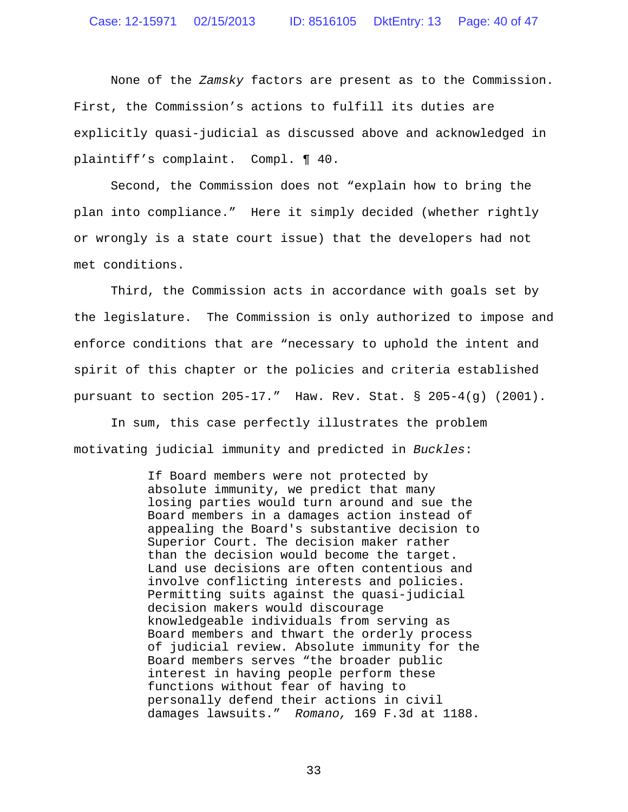None of the *Zamsky* factors are present as to the Commission. First, the Commission's actions to fulfill its duties are explicitly quasi-judicial as discussed above and acknowledged in plaintiff's complaint. Compl. ¶ 40.

Second, the Commission does not "explain how to bring the plan into compliance." Here it simply decided (whether rightly or wrongly is a state court issue) that the developers had not met conditions.

Third, the Commission acts in accordance with goals set by the legislature. The Commission is only authorized to impose and enforce conditions that are "necessary to uphold the intent and spirit of this chapter or the policies and criteria established pursuant to section  $205-17$ ." Haw. Rev. Stat. §  $205-4(q)$  (2001).

In sum, this case perfectly illustrates the problem motivating judicial immunity and predicted in *Buckles*:

> If Board members were not protected by absolute immunity, we predict that many losing parties would turn around and sue the Board members in a damages action instead of appealing the Board's substantive decision to Superior Court. The decision maker rather than the decision would become the target. Land use decisions are often contentious and involve conflicting interests and policies. Permitting suits against the quasi-judicial decision makers would discourage knowledgeable individuals from serving as Board members and thwart the orderly process of judicial review. Absolute immunity for the Board members serves "the broader public interest in having people perform these functions without fear of having to personally defend their actions in civil damages lawsuits." *Romano,* 169 F.3d at 1188.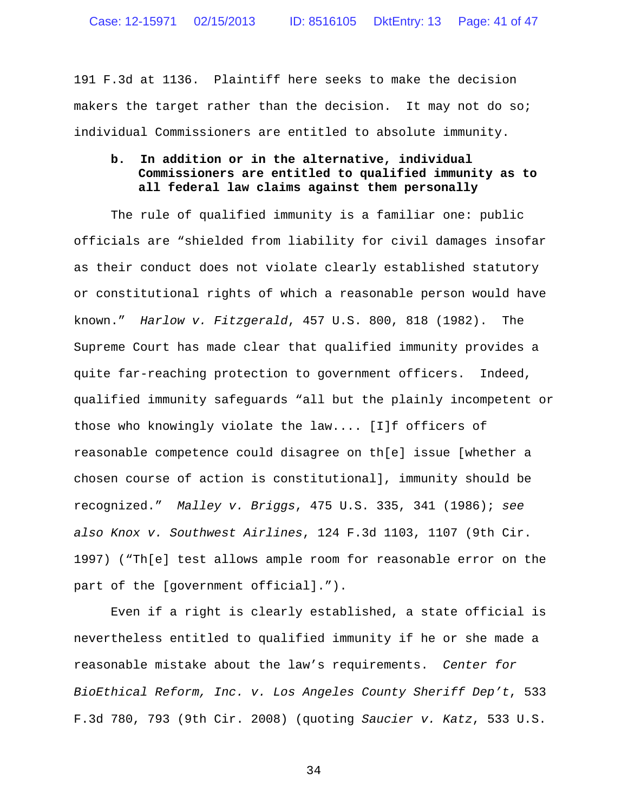191 F.3d at 1136. Plaintiff here seeks to make the decision makers the target rather than the decision. It may not do so; individual Commissioners are entitled to absolute immunity.

# **b. In addition or in the alternative, individual Commissioners are entitled to qualified immunity as to all federal law claims against them personally**

The rule of qualified immunity is a familiar one: public officials are "shielded from liability for civil damages insofar as their conduct does not violate clearly established statutory or constitutional rights of which a reasonable person would have known." *Harlow v. Fitzgerald*, 457 U.S. 800, 818 (1982). The Supreme Court has made clear that qualified immunity provides a quite far-reaching protection to government officers. Indeed, qualified immunity safeguards "all but the plainly incompetent or those who knowingly violate the law.... [I]f officers of reasonable competence could disagree on th[e] issue [whether a chosen course of action is constitutional], immunity should be recognized." *Malley v. Briggs*, 475 U.S. 335, 341 (1986); *see also Knox v. Southwest Airlines*, 124 F.3d 1103, 1107 (9th Cir. 1997) ("Th[e] test allows ample room for reasonable error on the part of the [government official].").

Even if a right is clearly established, a state official is nevertheless entitled to qualified immunity if he or she made a reasonable mistake about the law's requirements. *Center for BioEthical Reform, Inc. v. Los Angeles County Sheriff Dep't*, 533 F.3d 780, 793 (9th Cir. 2008) (quoting *Saucier v. Katz*, 533 U.S.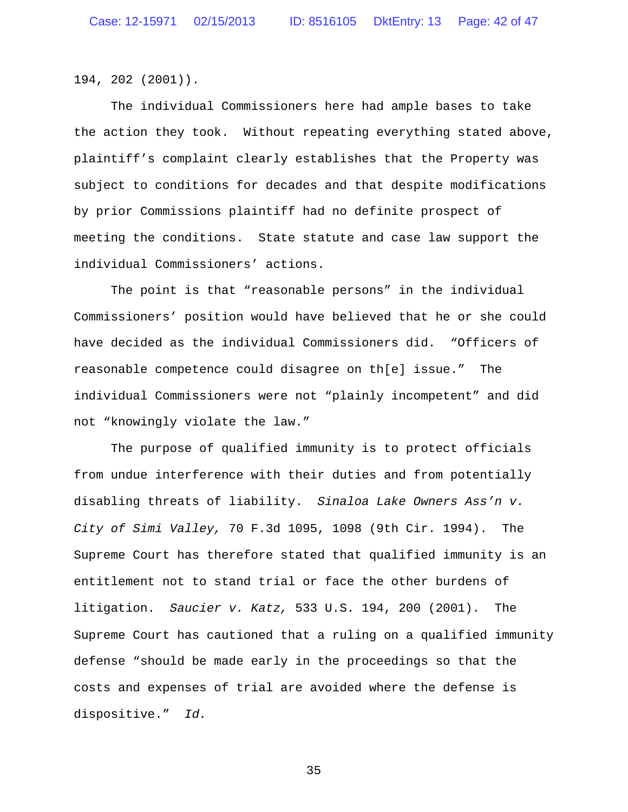194, 202 (2001)).

The individual Commissioners here had ample bases to take the action they took. Without repeating everything stated above, plaintiff's complaint clearly establishes that the Property was subject to conditions for decades and that despite modifications by prior Commissions plaintiff had no definite prospect of meeting the conditions. State statute and case law support the individual Commissioners' actions.

The point is that "reasonable persons" in the individual Commissioners' position would have believed that he or she could have decided as the individual Commissioners did. "Officers of reasonable competence could disagree on th[e] issue." The individual Commissioners were not "plainly incompetent" and did not "knowingly violate the law."

The purpose of qualified immunity is to protect officials from undue interference with their duties and from potentially disabling threats of liability. *Sinaloa Lake Owners Ass'n v. City of Simi Valley,* 70 F.3d 1095, 1098 (9th Cir. 1994). The Supreme Court has therefore stated that qualified immunity is an entitlement not to stand trial or face the other burdens of litigation. *Saucier v. Katz,* 533 U.S. 194, 200 (2001). The Supreme Court has cautioned that a ruling on a qualified immunity defense "should be made early in the proceedings so that the costs and expenses of trial are avoided where the defense is dispositive." *Id.*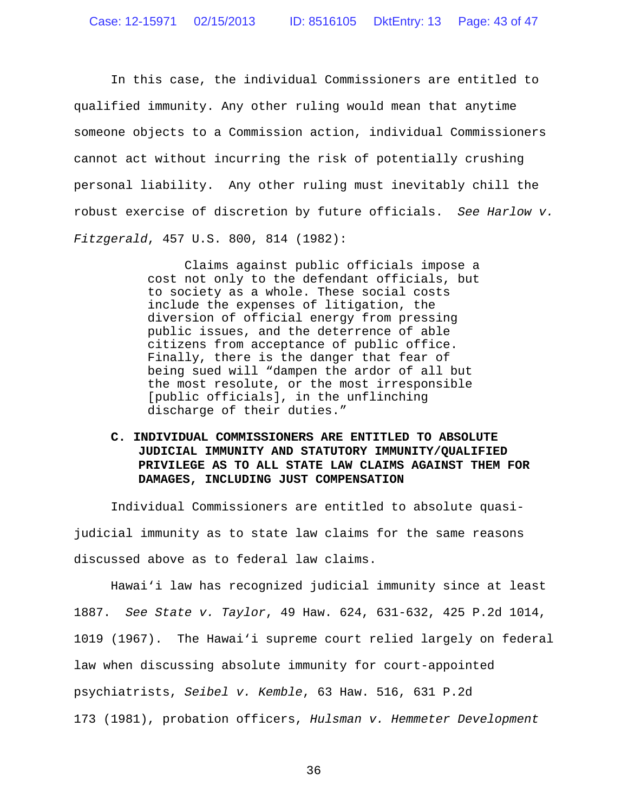In this case, the individual Commissioners are entitled to qualified immunity. Any other ruling would mean that anytime someone objects to a Commission action, individual Commissioners cannot act without incurring the risk of potentially crushing personal liability. Any other ruling must inevitably chill the robust exercise of discretion by future officials. *See Harlow v. Fitzgerald*, 457 U.S. 800, 814 (1982):

> Claims against public officials impose a cost not only to the defendant officials, but to society as a whole. These social costs include the expenses of litigation, the diversion of official energy from pressing public issues, and the deterrence of able citizens from acceptance of public office. Finally, there is the danger that fear of being sued will "dampen the ardor of all but the most resolute, or the most irresponsible [public officials], in the unflinching discharge of their duties."

**C. INDIVIDUAL COMMISSIONERS ARE ENTITLED TO ABSOLUTE JUDICIAL IMMUNITY AND STATUTORY IMMUNITY/QUALIFIED PRIVILEGE AS TO ALL STATE LAW CLAIMS AGAINST THEM FOR DAMAGES, INCLUDING JUST COMPENSATION**

Individual Commissioners are entitled to absolute quasijudicial immunity as to state law claims for the same reasons discussed above as to federal law claims.

Hawai'i law has recognized judicial immunity since at least 1887. *See State v. Taylor*, 49 Haw. 624, 631-632, 425 P.2d 1014, 1019 (1967). The Hawai'i supreme court relied largely on federal law when discussing absolute immunity for court-appointed psychiatrists, *Seibel v. Kemble*, 63 Haw. 516, 631 P.2d 173 (1981), probation officers, *Hulsman v. Hemmeter Development*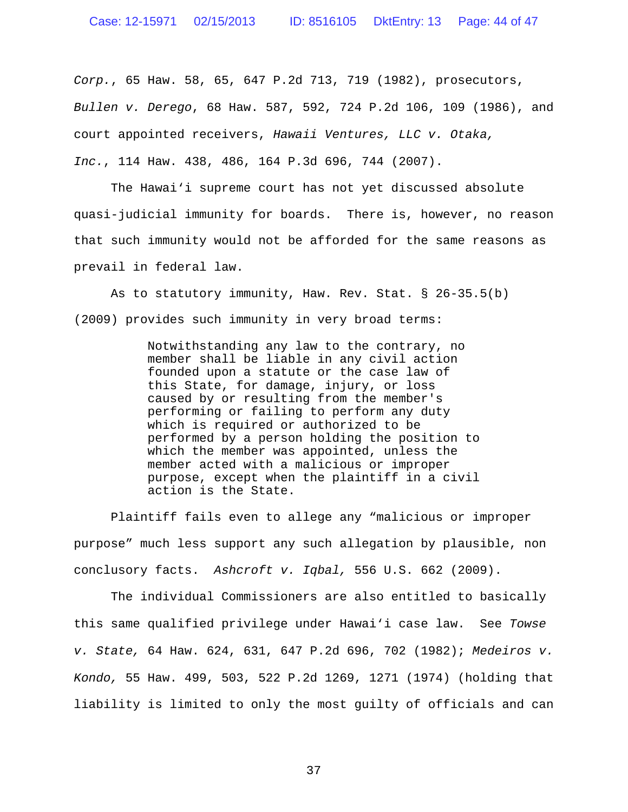### Case: 12-15971 02/15/2013 ID: 8516105 DktEntry: 13 Page: 44 of 47

*Corp.*, 65 Haw. 58, 65, 647 P.2d 713, 719 (1982), prosecutors, *Bullen v. Derego*, 68 Haw. 587, 592, 724 P.2d 106, 109 (1986), and court appointed receivers, *Hawaii Ventures, LLC v. Otaka, Inc.*, 114 Haw. 438, 486, 164 P.3d 696, 744 (2007).

The Hawai'i supreme court has not yet discussed absolute quasi-judicial immunity for boards. There is, however, no reason that such immunity would not be afforded for the same reasons as prevail in federal law.

As to statutory immunity, Haw. Rev. Stat. § 26-35.5(b) (2009) provides such immunity in very broad terms:

> Notwithstanding any law to the contrary, no member shall be liable in any civil action founded upon a statute or the case law of this State, for damage, injury, or loss caused by or resulting from the member's performing or failing to perform any duty which is required or authorized to be performed by a person holding the position to which the member was appointed, unless the member acted with a malicious or improper purpose, except when the plaintiff in a civil action is the State.

Plaintiff fails even to allege any "malicious or improper purpose" much less support any such allegation by plausible, non conclusory facts. *Ashcroft v. Iqbal,* 556 U.S. 662 (2009).

The individual Commissioners are also entitled to basically this same qualified privilege under Hawai'i case law. See *Towse v. State,* 64 Haw. 624, 631, 647 P.2d 696, 702 (1982); *Medeiros v. Kondo,* 55 Haw. 499, 503, 522 P.2d 1269, 1271 (1974) (holding that liability is limited to only the most guilty of officials and can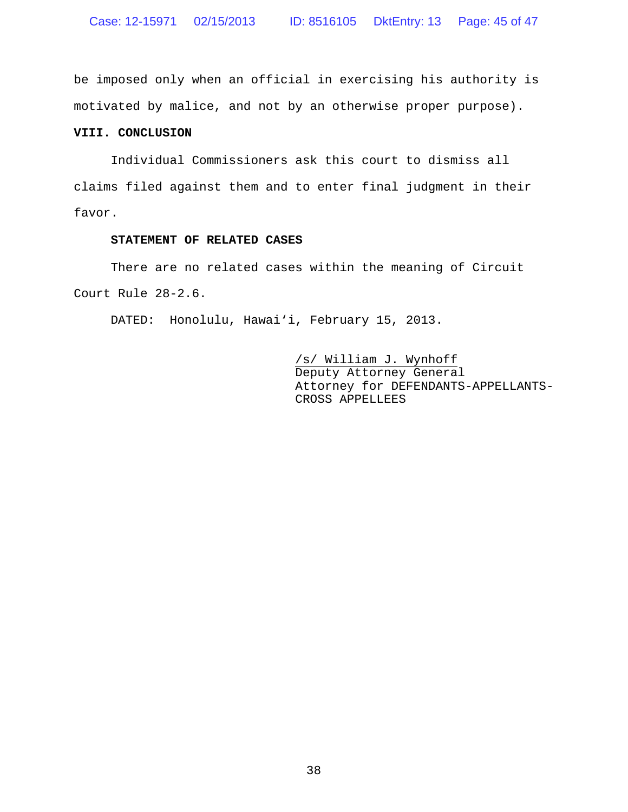be imposed only when an official in exercising his authority is motivated by malice, and not by an otherwise proper purpose).

### **VIII. CONCLUSION**

Individual Commissioners ask this court to dismiss all claims filed against them and to enter final judgment in their favor.

## **STATEMENT OF RELATED CASES**

There are no related cases within the meaning of Circuit Court Rule 28-2.6.

DATED: Honolulu, Hawai'i, February 15, 2013.

/s/ William J. Wynhoff Deputy Attorney General Attorney for DEFENDANTS-APPELLANTS-CROSS APPELLEES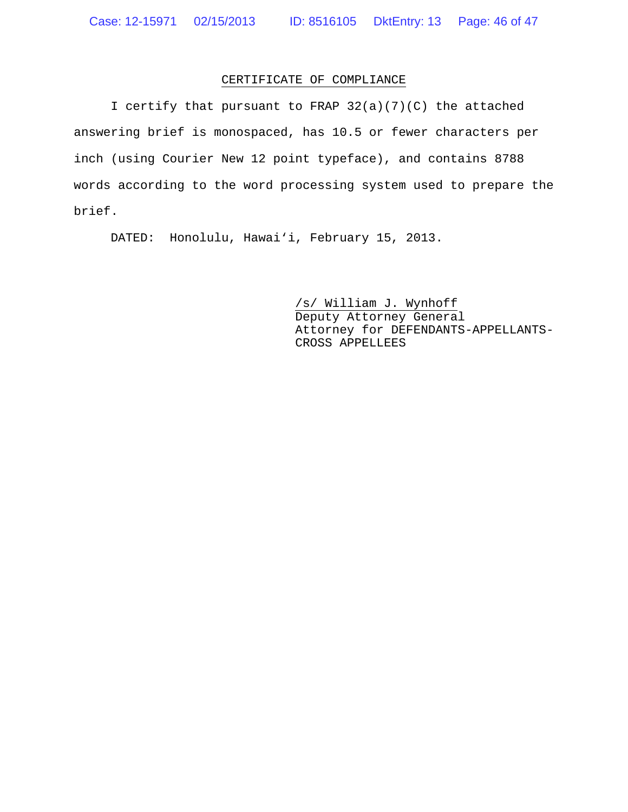# CERTIFICATE OF COMPLIANCE

I certify that pursuant to FRAP 32(a)(7)(C) the attached answering brief is monospaced, has 10.5 or fewer characters per inch (using Courier New 12 point typeface), and contains 8788 words according to the word processing system used to prepare the brief.

DATED: Honolulu, Hawai'i, February 15, 2013.

/s/ William J. Wynhoff Deputy Attorney General Attorney for DEFENDANTS-APPELLANTS-CROSS APPELLEES